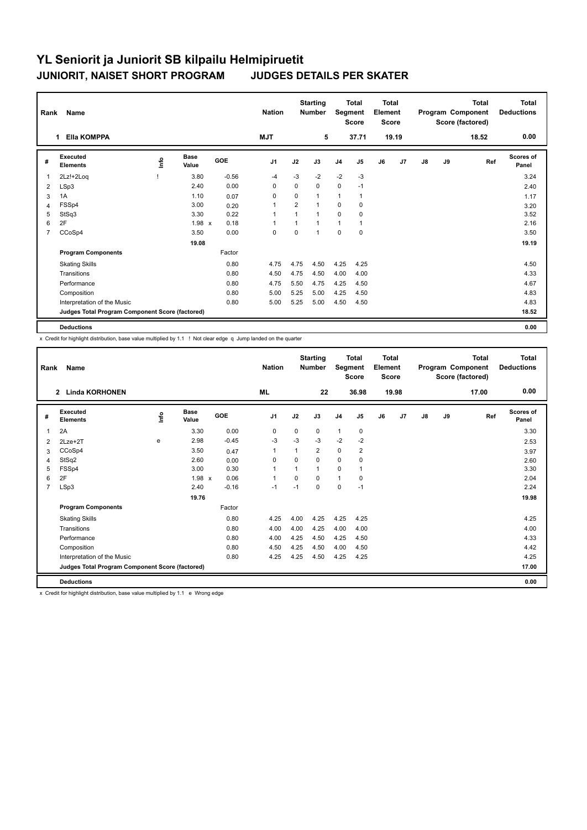| Rank | Name<br><b>Ella KOMPPA</b>                      |      |                      |         | <b>Nation</b>  |                | <b>Starting</b><br><b>Number</b> | Segment        | <b>Total</b><br><b>Score</b> | <b>Total</b><br>Element<br><b>Score</b> |       |               |    | <b>Total</b><br>Program Component<br>Score (factored) | <b>Total</b><br><b>Deductions</b> |
|------|-------------------------------------------------|------|----------------------|---------|----------------|----------------|----------------------------------|----------------|------------------------------|-----------------------------------------|-------|---------------|----|-------------------------------------------------------|-----------------------------------|
|      |                                                 |      |                      |         | <b>MJT</b>     |                | 5                                |                | 37.71                        |                                         | 19.19 |               |    | 18.52                                                 | 0.00                              |
| #    | Executed<br><b>Elements</b>                     | ١nfo | <b>Base</b><br>Value | GOE     | J <sub>1</sub> | J2             | J3                               | J <sub>4</sub> | J <sub>5</sub>               | J6                                      | J7    | $\mathsf{J}8$ | J9 | Ref                                                   | Scores of<br>Panel                |
| 1    | 2Lz!+2Log                                       |      | 3.80                 | $-0.56$ | $-4$           | $-3$           | $-2$                             | $-2$           | $-3$                         |                                         |       |               |    |                                                       | 3.24                              |
| 2    | LSp3                                            |      | 2.40                 | 0.00    | 0              | 0              | 0                                | 0              | $-1$                         |                                         |       |               |    |                                                       | 2.40                              |
| 3    | 1A                                              |      | 1.10                 | 0.07    | 0              | 0              | $\mathbf{1}$                     | 1              | $\mathbf{1}$                 |                                         |       |               |    |                                                       | 1.17                              |
| 4    | FSSp4                                           |      | 3.00                 | 0.20    | 1              | $\overline{2}$ | $\overline{ }$                   | 0              | 0                            |                                         |       |               |    |                                                       | 3.20                              |
| 5    | StSq3                                           |      | 3.30                 | 0.22    | 1              | 1              | 1                                | 0              | 0                            |                                         |       |               |    |                                                       | 3.52                              |
| 6    | 2F                                              |      | 1.98 x               | 0.18    | 1              | 1              | $\overline{ }$                   | 1              |                              |                                         |       |               |    |                                                       | 2.16                              |
| 7    | CCoSp4                                          |      | 3.50                 | 0.00    | 0              | $\Omega$       | 1                                | 0              | 0                            |                                         |       |               |    |                                                       | 3.50                              |
|      |                                                 |      | 19.08                |         |                |                |                                  |                |                              |                                         |       |               |    |                                                       | 19.19                             |
|      | <b>Program Components</b>                       |      |                      | Factor  |                |                |                                  |                |                              |                                         |       |               |    |                                                       |                                   |
|      | <b>Skating Skills</b>                           |      |                      | 0.80    | 4.75           | 4.75           | 4.50                             | 4.25           | 4.25                         |                                         |       |               |    |                                                       | 4.50                              |
|      | Transitions                                     |      |                      | 0.80    | 4.50           | 4.75           | 4.50                             | 4.00           | 4.00                         |                                         |       |               |    |                                                       | 4.33                              |
|      | Performance                                     |      |                      | 0.80    | 4.75           | 5.50           | 4.75                             | 4.25           | 4.50                         |                                         |       |               |    |                                                       | 4.67                              |
|      | Composition                                     |      |                      | 0.80    | 5.00           | 5.25           | 5.00                             | 4.25           | 4.50                         |                                         |       |               |    |                                                       | 4.83                              |
|      | Interpretation of the Music                     |      |                      | 0.80    | 5.00           | 5.25           | 5.00                             | 4.50           | 4.50                         |                                         |       |               |    |                                                       | 4.83                              |
|      | Judges Total Program Component Score (factored) |      |                      |         |                |                |                                  |                |                              |                                         |       |               |    |                                                       | 18.52                             |
|      | <b>Deductions</b>                               |      |                      |         |                |                |                                  |                |                              |                                         |       |               |    |                                                       | 0.00                              |

x Credit for highlight distribution, base value multiplied by 1.1 ! Not clear edge q Jump landed on the quarter

**Total Deductions Total Program Component Score (factored) Total Element Segment Score Total Score Starting Rank Name Nation Number # Executed Elements Base Value GOE J1 J2 J3 J4 J5 J6 J7 J8 J9 Scores of Panel** 1 3.30 0.00 0 0 0 1 0 **Ref**  سمان بال بن المسابق المسلمية المسابق المسلمية المسلمية المسلمية المسلمية المسلمية المسلمية المسلمية المسلمية ا<br>2A 3.30 0.00 0 0 0 1 0<br>2A 3.30 0.00 0 0 0 1 0  **2 Linda KORHONEN ML 22 36.98 19.98 17.00 0.00** 2 2Lze+2T e 2.98 -0.45 -3 -3 -3 -2 -2 2.53  $3 \text{ }$  CCoSp4 3.97  $3.50$   $0.47$   $1$   $1$   $2$   $0$   $2$   $3.97$ 4 StSq2 2.60 0.00 0 0 0 0 0 2.60 5 FSSp4 3.00 0.30 1 1 1 0 1 3.30 6 2F 1.98 x 0.06 1 0 0 1 0 2.04 7 LSp3 2.40 -0.16 -1 -1 0 0 -1 2.24  **19.76 19.98 Program Components**  Skating Skills 4.25 4.00 4.25 4.25 4.25 Factor 4.00 4.25 4.25 4.25 4.25 Transitions 0.80 4.00 4.00 4.25 4.00 4.00 4.00 Performance 0.80 4.00 4.25 4.50 4.25 4.50 4.33 Composition 0.80 4.50 4.25 4.50 4.00 4.50 4.42 Interpretation of the Music **1.25 4.25 4.25 4.25 4.25** 4.25 4.25 4.25 4.25 4.25 4.25 **Deductions 0.00 Judges Total Program Component Score (factored) 17.00**

x Credit for highlight distribution, base value multiplied by 1.1 e Wrong edge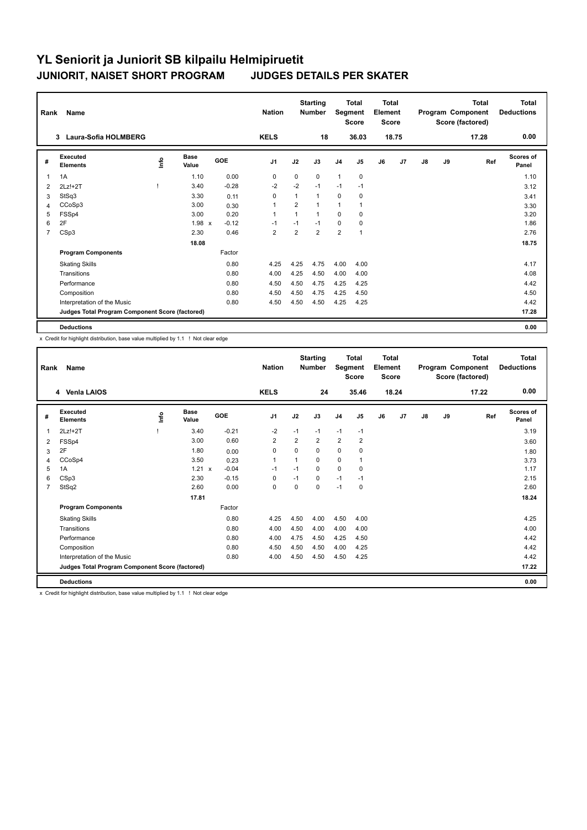| Rank           | Name<br>Laura-Sofia HOLMBERG<br>3               |      |                      |            | <b>Nation</b>  |                | <b>Starting</b><br><b>Number</b> |                | <b>Total</b><br>Segment<br><b>Score</b> | <b>Total</b><br>Element<br><b>Score</b> |       |               |    | <b>Total</b><br>Program Component<br>Score (factored) | <b>Total</b><br><b>Deductions</b> |
|----------------|-------------------------------------------------|------|----------------------|------------|----------------|----------------|----------------------------------|----------------|-----------------------------------------|-----------------------------------------|-------|---------------|----|-------------------------------------------------------|-----------------------------------|
|                |                                                 |      |                      |            | <b>KELS</b>    |                | 18                               |                | 36.03                                   |                                         | 18.75 |               |    | 17.28                                                 | 0.00                              |
| #              | Executed<br><b>Elements</b>                     | Info | <b>Base</b><br>Value | <b>GOE</b> | J <sub>1</sub> | J2             | J3                               | J <sub>4</sub> | J5                                      | J6                                      | J7    | $\mathsf{J}8$ | J9 | Ref                                                   | Scores of<br>Panel                |
| 1              | 1A                                              |      | 1.10                 | 0.00       | 0              | $\mathbf 0$    | $\Omega$                         | $\mathbf{1}$   | 0                                       |                                         |       |               |    |                                                       | 1.10                              |
| 2              | $2Lz!+2T$                                       |      | 3.40                 | $-0.28$    | $-2$           | $-2$           | $-1$                             | $-1$           | $-1$                                    |                                         |       |               |    |                                                       | 3.12                              |
| 3              | StSq3                                           |      | 3.30                 | 0.11       | 0              | 1              | $\mathbf{1}$                     | $\mathbf 0$    | 0                                       |                                         |       |               |    |                                                       | 3.41                              |
| 4              | CCoSp3                                          |      | 3.00                 | 0.30       | 1              | $\overline{2}$ | $\mathbf{1}$                     | $\mathbf{1}$   |                                         |                                         |       |               |    |                                                       | 3.30                              |
| 5              | FSSp4                                           |      | 3.00                 | 0.20       | 1              |                | $\mathbf{1}$                     | 0              | 0                                       |                                         |       |               |    |                                                       | 3.20                              |
| 6              | 2F                                              |      | 1.98 x               | $-0.12$    | $-1$           | $-1$           | $-1$                             | 0              | 0                                       |                                         |       |               |    |                                                       | 1.86                              |
| $\overline{7}$ | CSp3                                            |      | 2.30                 | 0.46       | 2              | 2              | $\overline{2}$                   | $\overline{2}$ | $\mathbf{1}$                            |                                         |       |               |    |                                                       | 2.76                              |
|                |                                                 |      | 18.08                |            |                |                |                                  |                |                                         |                                         |       |               |    |                                                       | 18.75                             |
|                | <b>Program Components</b>                       |      |                      | Factor     |                |                |                                  |                |                                         |                                         |       |               |    |                                                       |                                   |
|                | <b>Skating Skills</b>                           |      |                      | 0.80       | 4.25           | 4.25           | 4.75                             | 4.00           | 4.00                                    |                                         |       |               |    |                                                       | 4.17                              |
|                | Transitions                                     |      |                      | 0.80       | 4.00           | 4.25           | 4.50                             | 4.00           | 4.00                                    |                                         |       |               |    |                                                       | 4.08                              |
|                | Performance                                     |      |                      | 0.80       | 4.50           | 4.50           | 4.75                             | 4.25           | 4.25                                    |                                         |       |               |    |                                                       | 4.42                              |
|                | Composition                                     |      |                      | 0.80       | 4.50           | 4.50           | 4.75                             | 4.25           | 4.50                                    |                                         |       |               |    |                                                       | 4.50                              |
|                | Interpretation of the Music                     |      |                      | 0.80       | 4.50           | 4.50           | 4.50                             | 4.25           | 4.25                                    |                                         |       |               |    |                                                       | 4.42                              |
|                | Judges Total Program Component Score (factored) |      |                      |            |                |                |                                  |                |                                         |                                         |       |               |    |                                                       | 17.28                             |
|                | <b>Deductions</b>                               |      |                      |            |                |                |                                  |                |                                         |                                         |       |               |    |                                                       | 0.00                              |

x Credit for highlight distribution, base value multiplied by 1.1 ! Not clear edge

| Rank           | Name<br>4 Venla LAIOS                           |      |               |         | <b>Nation</b>  |                | <b>Starting</b><br><b>Number</b> | Segment        | Total<br><b>Score</b> | <b>Total</b><br>Element<br><b>Score</b> |       |               |    | <b>Total</b><br>Program Component<br>Score (factored) | <b>Total</b><br><b>Deductions</b> |
|----------------|-------------------------------------------------|------|---------------|---------|----------------|----------------|----------------------------------|----------------|-----------------------|-----------------------------------------|-------|---------------|----|-------------------------------------------------------|-----------------------------------|
|                |                                                 |      |               |         | <b>KELS</b>    |                | 24                               |                | 35.46                 |                                         | 18.24 |               |    | 17.22                                                 | 0.00                              |
| #              | Executed<br><b>Elements</b>                     | lnfo | Base<br>Value | GOE     | J <sub>1</sub> | J2             | J3                               | J <sub>4</sub> | J5                    | J6                                      | J7    | $\mathsf{J}8$ | J9 | Ref                                                   | Scores of<br>Panel                |
| $\mathbf{1}$   | 2Lz!+2T                                         |      | 3.40          | $-0.21$ | $-2$           | $-1$           | $-1$                             | $-1$           | $-1$                  |                                         |       |               |    |                                                       | 3.19                              |
| 2              | FSSp4                                           |      | 3.00          | 0.60    | $\overline{2}$ | $\overline{2}$ | $\overline{2}$                   | 2              | $\overline{2}$        |                                         |       |               |    |                                                       | 3.60                              |
| 3              | 2F                                              |      | 1.80          | 0.00    | 0              | $\Omega$       | 0                                | $\mathbf 0$    | 0                     |                                         |       |               |    |                                                       | 1.80                              |
| 4              | CCoSp4                                          |      | 3.50          | 0.23    | 1              |                | 0                                | $\mathbf 0$    |                       |                                         |       |               |    |                                                       | 3.73                              |
| 5              | 1A                                              |      | $1.21 \times$ | $-0.04$ | $-1$           | $-1$           | $\Omega$                         | $\mathbf 0$    | $\Omega$              |                                         |       |               |    |                                                       | 1.17                              |
| 6              | CSp3                                            |      | 2.30          | $-0.15$ | $\mathbf 0$    | $-1$           | $\Omega$                         | $-1$           | $-1$                  |                                         |       |               |    |                                                       | 2.15                              |
| $\overline{7}$ | StSq2                                           |      | 2.60          | 0.00    | $\mathbf 0$    | $\mathbf 0$    | 0                                | $-1$           | $\mathbf 0$           |                                         |       |               |    |                                                       | 2.60                              |
|                |                                                 |      | 17.81         |         |                |                |                                  |                |                       |                                         |       |               |    |                                                       | 18.24                             |
|                | <b>Program Components</b>                       |      |               | Factor  |                |                |                                  |                |                       |                                         |       |               |    |                                                       |                                   |
|                | <b>Skating Skills</b>                           |      |               | 0.80    | 4.25           | 4.50           | 4.00                             | 4.50           | 4.00                  |                                         |       |               |    |                                                       | 4.25                              |
|                | Transitions                                     |      |               | 0.80    | 4.00           | 4.50           | 4.00                             | 4.00           | 4.00                  |                                         |       |               |    |                                                       | 4.00                              |
|                | Performance                                     |      |               | 0.80    | 4.00           | 4.75           | 4.50                             | 4.25           | 4.50                  |                                         |       |               |    |                                                       | 4.42                              |
|                | Composition                                     |      |               | 0.80    | 4.50           | 4.50           | 4.50                             | 4.00           | 4.25                  |                                         |       |               |    |                                                       | 4.42                              |
|                | Interpretation of the Music                     |      |               | 0.80    | 4.00           | 4.50           | 4.50                             | 4.50           | 4.25                  |                                         |       |               |    |                                                       | 4.42                              |
|                | Judges Total Program Component Score (factored) |      |               |         |                |                |                                  |                |                       |                                         |       |               |    |                                                       | 17.22                             |
|                | <b>Deductions</b>                               |      |               |         |                |                |                                  |                |                       |                                         |       |               |    |                                                       | 0.00                              |

x Credit for highlight distribution, base value multiplied by 1.1 ! Not clear edge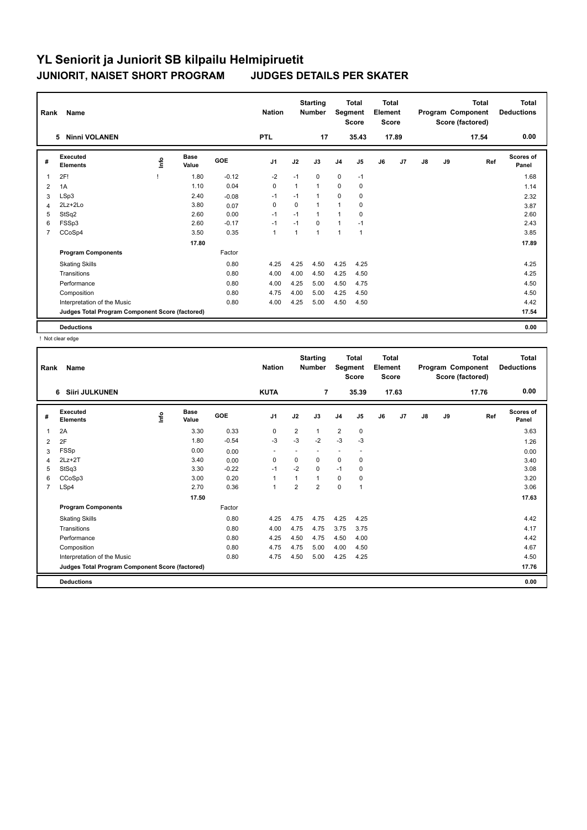| Rank           | Name<br><b>Ninni VOLANEN</b><br>5               |      |                      |            |                |              | <b>Starting</b><br><b>Number</b> | Segment        | <b>Total</b><br><b>Score</b> | Total<br>Element<br><b>Score</b> |       |               |    | Total<br>Program Component<br>Score (factored) | <b>Total</b><br><b>Deductions</b> |
|----------------|-------------------------------------------------|------|----------------------|------------|----------------|--------------|----------------------------------|----------------|------------------------------|----------------------------------|-------|---------------|----|------------------------------------------------|-----------------------------------|
|                |                                                 |      |                      |            | <b>PTL</b>     |              | 17                               |                | 35.43                        |                                  | 17.89 |               |    | 17.54                                          | 0.00                              |
| #              | Executed<br><b>Elements</b>                     | ١nfo | <b>Base</b><br>Value | <b>GOE</b> | J <sub>1</sub> | J2           | J3                               | J <sub>4</sub> | J5                           | J6                               | J7    | $\mathsf{J}8$ | J9 | Ref                                            | Scores of<br>Panel                |
| $\overline{1}$ | 2F!                                             |      | 1.80                 | $-0.12$    | $-2$           | $-1$         | $\Omega$                         | $\mathbf 0$    | $-1$                         |                                  |       |               |    |                                                | 1.68                              |
| 2              | 1A                                              |      | 1.10                 | 0.04       | 0              | $\mathbf{1}$ | 1                                | 0              | 0                            |                                  |       |               |    |                                                | 1.14                              |
| 3              | LSp3                                            |      | 2.40                 | $-0.08$    | $-1$           | $-1$         | 1                                | $\mathbf 0$    | 0                            |                                  |       |               |    |                                                | 2.32                              |
| 4              | $2Lz + 2Lo$                                     |      | 3.80                 | 0.07       | $\mathbf 0$    | $\mathbf 0$  | 1                                | $\overline{1}$ | 0                            |                                  |       |               |    |                                                | 3.87                              |
| 5              | StSq2                                           |      | 2.60                 | 0.00       | $-1$           | $-1$         | 1                                | 1              | 0                            |                                  |       |               |    |                                                | 2.60                              |
| 6              | FSSp3                                           |      | 2.60                 | $-0.17$    | $-1$           | $-1$         | 0                                | $\overline{1}$ | $-1$                         |                                  |       |               |    |                                                | 2.43                              |
| $\overline{7}$ | CCoSp4                                          |      | 3.50                 | 0.35       | $\mathbf{1}$   | $\mathbf{1}$ | 1                                | $\overline{1}$ | $\mathbf{1}$                 |                                  |       |               |    |                                                | 3.85                              |
|                |                                                 |      | 17.80                |            |                |              |                                  |                |                              |                                  |       |               |    |                                                | 17.89                             |
|                | <b>Program Components</b>                       |      |                      | Factor     |                |              |                                  |                |                              |                                  |       |               |    |                                                |                                   |
|                | <b>Skating Skills</b>                           |      |                      | 0.80       | 4.25           | 4.25         | 4.50                             | 4.25           | 4.25                         |                                  |       |               |    |                                                | 4.25                              |
|                | Transitions                                     |      |                      | 0.80       | 4.00           | 4.00         | 4.50                             | 4.25           | 4.50                         |                                  |       |               |    |                                                | 4.25                              |
|                | Performance                                     |      |                      | 0.80       | 4.00           | 4.25         | 5.00                             | 4.50           | 4.75                         |                                  |       |               |    |                                                | 4.50                              |
|                | Composition                                     |      |                      | 0.80       | 4.75           | 4.00         | 5.00                             | 4.25           | 4.50                         |                                  |       |               |    |                                                | 4.50                              |
|                | Interpretation of the Music                     |      |                      | 0.80       | 4.00           | 4.25         | 5.00                             | 4.50           | 4.50                         |                                  |       |               |    |                                                | 4.42                              |
|                | Judges Total Program Component Score (factored) |      |                      |            |                |              |                                  |                |                              |                                  |       |               |    |                                                | 17.54                             |
|                | <b>Deductions</b>                               |      |                      |            |                |              |                                  |                |                              |                                  |       |               |    |                                                | 0.00                              |

! Not clear edge

| Rank           | Name<br><b>Siiri JULKUNEN</b><br>6              |      |                      |         | <b>Nation</b>            |                | <b>Starting</b><br><b>Number</b> | Segment        | <b>Total</b><br><b>Score</b> | <b>Total</b><br>Element<br><b>Score</b> |       |    |    | <b>Total</b><br>Program Component<br>Score (factored) | <b>Total</b><br><b>Deductions</b> |
|----------------|-------------------------------------------------|------|----------------------|---------|--------------------------|----------------|----------------------------------|----------------|------------------------------|-----------------------------------------|-------|----|----|-------------------------------------------------------|-----------------------------------|
|                |                                                 |      |                      |         | <b>KUTA</b>              |                | $\overline{7}$                   |                | 35.39                        |                                         | 17.63 |    |    | 17.76                                                 | 0.00                              |
| #              | Executed<br><b>Elements</b>                     | lnfo | <b>Base</b><br>Value | GOE     | J <sub>1</sub>           | J2             | J3                               | J <sub>4</sub> | J5                           | J6                                      | J7    | J8 | J9 | Ref                                                   | <b>Scores of</b><br>Panel         |
| 1              | 2A                                              |      | 3.30                 | 0.33    | 0                        | $\overline{2}$ | 1                                | $\overline{2}$ | 0                            |                                         |       |    |    |                                                       | 3.63                              |
| 2              | 2F                                              |      | 1.80                 | $-0.54$ | $-3$                     | $-3$           | $-2$                             | $-3$           | $-3$                         |                                         |       |    |    |                                                       | 1.26                              |
| 3              | FSSp                                            |      | 0.00                 | 0.00    | $\overline{\phantom{a}}$ |                |                                  | ٠              | ٠                            |                                         |       |    |    |                                                       | 0.00                              |
| 4              | $2Lz+2T$                                        |      | 3.40                 | 0.00    | 0                        | 0              | 0                                | $\mathbf 0$    | 0                            |                                         |       |    |    |                                                       | 3.40                              |
| 5              | StSq3                                           |      | 3.30                 | $-0.22$ | $-1$                     | $-2$           | 0                                | $-1$           | 0                            |                                         |       |    |    |                                                       | 3.08                              |
| 6              | CCoSp3                                          |      | 3.00                 | 0.20    | $\mathbf{1}$             |                | 1                                | $\mathbf 0$    | $\mathbf 0$                  |                                         |       |    |    |                                                       | 3.20                              |
| $\overline{7}$ | LSp4                                            |      | 2.70                 | 0.36    | $\mathbf{1}$             | 2              | $\overline{2}$                   | $\Omega$       | $\mathbf 1$                  |                                         |       |    |    |                                                       | 3.06                              |
|                |                                                 |      | 17.50                |         |                          |                |                                  |                |                              |                                         |       |    |    |                                                       | 17.63                             |
|                | <b>Program Components</b>                       |      |                      | Factor  |                          |                |                                  |                |                              |                                         |       |    |    |                                                       |                                   |
|                | <b>Skating Skills</b>                           |      |                      | 0.80    | 4.25                     | 4.75           | 4.75                             | 4.25           | 4.25                         |                                         |       |    |    |                                                       | 4.42                              |
|                | Transitions                                     |      |                      | 0.80    | 4.00                     | 4.75           | 4.75                             | 3.75           | 3.75                         |                                         |       |    |    |                                                       | 4.17                              |
|                | Performance                                     |      |                      | 0.80    | 4.25                     | 4.50           | 4.75                             | 4.50           | 4.00                         |                                         |       |    |    |                                                       | 4.42                              |
|                | Composition                                     |      |                      | 0.80    | 4.75                     | 4.75           | 5.00                             | 4.00           | 4.50                         |                                         |       |    |    |                                                       | 4.67                              |
|                | Interpretation of the Music                     |      |                      | 0.80    | 4.75                     | 4.50           | 5.00                             | 4.25           | 4.25                         |                                         |       |    |    |                                                       | 4.50                              |
|                | Judges Total Program Component Score (factored) |      |                      |         |                          |                |                                  |                |                              |                                         |       |    |    |                                                       | 17.76                             |
|                | <b>Deductions</b>                               |      |                      |         |                          |                |                                  |                |                              |                                         |       |    |    |                                                       | 0.00                              |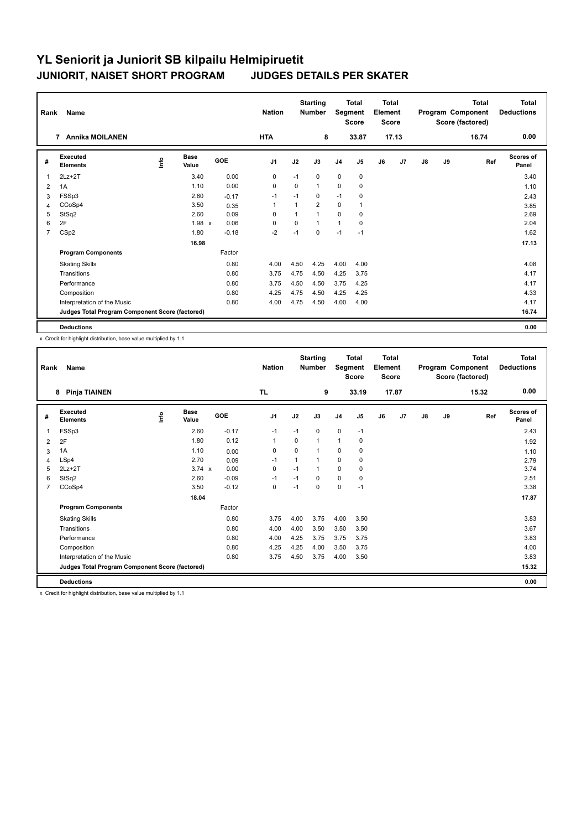|                | Name<br>Rank<br><b>Annika MOILANEN</b><br>7     |      |                      |            | <b>Nation</b>  |                | <b>Starting</b><br><b>Number</b> | Segment        | <b>Total</b><br><b>Score</b> | <b>Total</b><br>Element<br><b>Score</b> |       |               |    | <b>Total</b><br>Program Component<br>Score (factored) | Total<br><b>Deductions</b> |
|----------------|-------------------------------------------------|------|----------------------|------------|----------------|----------------|----------------------------------|----------------|------------------------------|-----------------------------------------|-------|---------------|----|-------------------------------------------------------|----------------------------|
|                |                                                 |      |                      |            | <b>HTA</b>     |                | 8                                |                | 33.87                        |                                         | 17.13 |               |    | 16.74                                                 | 0.00                       |
| #              | Executed<br><b>Elements</b>                     | ١nfo | <b>Base</b><br>Value | <b>GOE</b> | J1             | J2             | J3                               | J <sub>4</sub> | J5                           | J6                                      | J7    | $\mathsf{J}8$ | J9 | Ref                                                   | <b>Scores of</b><br>Panel  |
| $\overline{1}$ | $2Lz+2T$                                        |      | 3.40                 | 0.00       | $\mathbf 0$    | $-1$           | 0                                | $\mathbf 0$    | $\mathbf 0$                  |                                         |       |               |    |                                                       | 3.40                       |
| 2              | 1A                                              |      | 1.10                 | 0.00       | 0              | 0              | $\mathbf{1}$                     | 0              | 0                            |                                         |       |               |    |                                                       | 1.10                       |
| 3              | FSSp3                                           |      | 2.60                 | $-0.17$    | $-1$           | $-1$           | 0                                | $-1$           | 0                            |                                         |       |               |    |                                                       | 2.43                       |
| 4              | CCoSp4                                          |      | 3.50                 | 0.35       | $\overline{1}$ | $\overline{1}$ | $\overline{2}$                   | $\mathbf 0$    | $\mathbf{1}$                 |                                         |       |               |    |                                                       | 3.85                       |
| 5              | StSq2                                           |      | 2.60                 | 0.09       | 0              | 1              | 1                                | $\mathbf 0$    | 0                            |                                         |       |               |    |                                                       | 2.69                       |
| 6              | 2F                                              |      | 1.98 x               | 0.06       | 0              | 0              | 1                                | $\mathbf{1}$   | 0                            |                                         |       |               |    |                                                       | 2.04                       |
| $\overline{7}$ | CSp2                                            |      | 1.80                 | $-0.18$    | $-2$           | $-1$           | 0                                | $-1$           | $-1$                         |                                         |       |               |    |                                                       | 1.62                       |
|                |                                                 |      | 16.98                |            |                |                |                                  |                |                              |                                         |       |               |    |                                                       | 17.13                      |
|                | <b>Program Components</b>                       |      |                      | Factor     |                |                |                                  |                |                              |                                         |       |               |    |                                                       |                            |
|                | <b>Skating Skills</b>                           |      |                      | 0.80       | 4.00           | 4.50           | 4.25                             | 4.00           | 4.00                         |                                         |       |               |    |                                                       | 4.08                       |
|                | Transitions                                     |      |                      | 0.80       | 3.75           | 4.75           | 4.50                             | 4.25           | 3.75                         |                                         |       |               |    |                                                       | 4.17                       |
|                | Performance                                     |      |                      | 0.80       | 3.75           | 4.50           | 4.50                             | 3.75           | 4.25                         |                                         |       |               |    |                                                       | 4.17                       |
|                | Composition                                     |      |                      | 0.80       | 4.25           | 4.75           | 4.50                             | 4.25           | 4.25                         |                                         |       |               |    |                                                       | 4.33                       |
|                | Interpretation of the Music                     |      |                      | 0.80       | 4.00           | 4.75           | 4.50                             | 4.00           | 4.00                         |                                         |       |               |    |                                                       | 4.17                       |
|                | Judges Total Program Component Score (factored) |      |                      |            |                |                |                                  |                |                              |                                         |       |               |    |                                                       | 16.74                      |
|                | <b>Deductions</b>                               |      |                      |            |                |                |                                  |                |                              |                                         |       |               |    |                                                       | 0.00                       |

x Credit for highlight distribution, base value multiplied by 1.1

| Rank           | Name                                            |      |                      |         | <b>Nation</b>  |          | <b>Starting</b><br><b>Number</b> | Segment        | Total<br><b>Score</b> | <b>Total</b><br>Element<br><b>Score</b> |       |    |    | <b>Total</b><br>Program Component<br>Score (factored) | <b>Total</b><br><b>Deductions</b> |
|----------------|-------------------------------------------------|------|----------------------|---------|----------------|----------|----------------------------------|----------------|-----------------------|-----------------------------------------|-------|----|----|-------------------------------------------------------|-----------------------------------|
|                | Pinja TIAINEN<br>8                              |      |                      |         | <b>TL</b>      |          | 9                                |                | 33.19                 |                                         | 17.87 |    |    | 15.32                                                 | 0.00                              |
| #              | Executed<br><b>Elements</b>                     | lnfo | <b>Base</b><br>Value | GOE     | J <sub>1</sub> | J2       | J3                               | J <sub>4</sub> | J5                    | J6                                      | J7    | J8 | J9 | Ref                                                   | <b>Scores of</b><br>Panel         |
| 1              | FSSp3                                           |      | 2.60                 | $-0.17$ | $-1$           | $-1$     | 0                                | 0              | $-1$                  |                                         |       |    |    |                                                       | 2.43                              |
| $\overline{2}$ | 2F                                              |      | 1.80                 | 0.12    | $\mathbf{1}$   | 0        | $\mathbf{1}$                     | $\mathbf{1}$   | 0                     |                                         |       |    |    |                                                       | 1.92                              |
| 3              | 1A                                              |      | 1.10                 | 0.00    | 0              | $\Omega$ | $\mathbf{1}$                     | $\mathbf 0$    | 0                     |                                         |       |    |    |                                                       | 1.10                              |
| 4              | LSp4                                            |      | 2.70                 | 0.09    | $-1$           |          | $\mathbf{1}$                     | $\mathbf 0$    | 0                     |                                         |       |    |    |                                                       | 2.79                              |
| 5              | $2Lz+2T$                                        |      | $3.74 \times$        | 0.00    | $\mathbf 0$    | $-1$     | 1                                | $\mathbf 0$    | 0                     |                                         |       |    |    |                                                       | 3.74                              |
| 6              | StSq2                                           |      | 2.60                 | $-0.09$ | $-1$           | $-1$     | $\Omega$                         | $\mathbf 0$    | $\Omega$              |                                         |       |    |    |                                                       | 2.51                              |
| $\overline{7}$ | CCoSp4                                          |      | 3.50                 | $-0.12$ | $\mathbf 0$    | $-1$     | 0                                | $\mathbf 0$    | $-1$                  |                                         |       |    |    |                                                       | 3.38                              |
|                |                                                 |      | 18.04                |         |                |          |                                  |                |                       |                                         |       |    |    |                                                       | 17.87                             |
|                | <b>Program Components</b>                       |      |                      | Factor  |                |          |                                  |                |                       |                                         |       |    |    |                                                       |                                   |
|                | <b>Skating Skills</b>                           |      |                      | 0.80    | 3.75           | 4.00     | 3.75                             | 4.00           | 3.50                  |                                         |       |    |    |                                                       | 3.83                              |
|                | Transitions                                     |      |                      | 0.80    | 4.00           | 4.00     | 3.50                             | 3.50           | 3.50                  |                                         |       |    |    |                                                       | 3.67                              |
|                | Performance                                     |      |                      | 0.80    | 4.00           | 4.25     | 3.75                             | 3.75           | 3.75                  |                                         |       |    |    |                                                       | 3.83                              |
|                | Composition                                     |      |                      | 0.80    | 4.25           | 4.25     | 4.00                             | 3.50           | 3.75                  |                                         |       |    |    |                                                       | 4.00                              |
|                | Interpretation of the Music                     |      |                      | 0.80    | 3.75           | 4.50     | 3.75                             | 4.00           | 3.50                  |                                         |       |    |    |                                                       | 3.83                              |
|                | Judges Total Program Component Score (factored) |      |                      |         |                |          |                                  |                |                       |                                         |       |    |    |                                                       | 15.32                             |
|                | <b>Deductions</b>                               |      |                      |         |                |          |                                  |                |                       |                                         |       |    |    |                                                       | 0.00                              |

x Credit for highlight distribution, base value multiplied by 1.1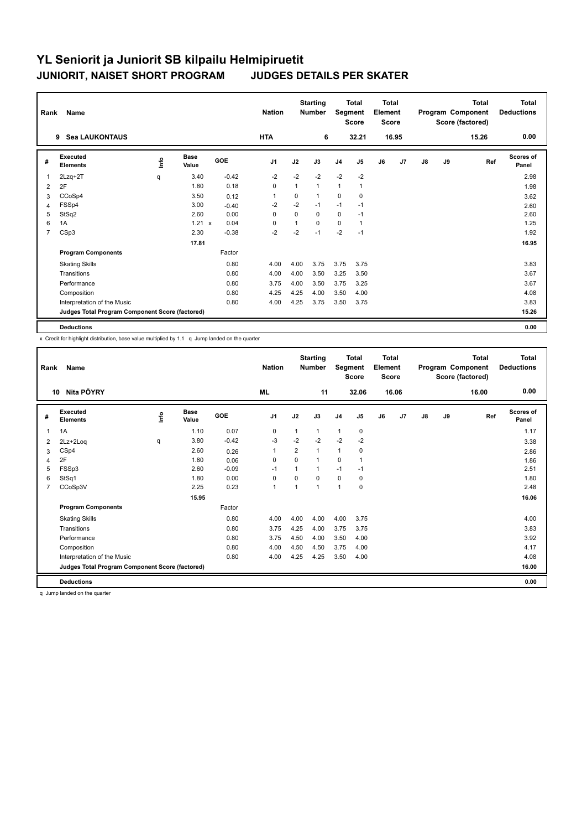| Rank           | Name<br><b>Sea LAUKONTAUS</b><br>9              |      |                      |            | <b>Nation</b>  |      | <b>Starting</b><br><b>Number</b> |                | <b>Total</b><br>Segment<br><b>Score</b> | <b>Total</b><br>Element<br><b>Score</b> |       |               |    | <b>Total</b><br>Program Component<br>Score (factored) | <b>Total</b><br><b>Deductions</b> |
|----------------|-------------------------------------------------|------|----------------------|------------|----------------|------|----------------------------------|----------------|-----------------------------------------|-----------------------------------------|-------|---------------|----|-------------------------------------------------------|-----------------------------------|
|                |                                                 |      |                      |            | <b>HTA</b>     |      | 6                                |                | 32.21                                   |                                         | 16.95 |               |    | 15.26                                                 | 0.00                              |
| #              | Executed<br><b>Elements</b>                     | lnfo | <b>Base</b><br>Value | <b>GOE</b> | J <sub>1</sub> | J2   | J3                               | J <sub>4</sub> | J5                                      | J6                                      | J7    | $\mathsf{J}8$ | J9 | Ref                                                   | Scores of<br>Panel                |
| 1              | $2Lzq+2T$                                       | q    | 3.40                 | $-0.42$    | $-2$           | $-2$ | $-2$                             | $-2$           | $-2$                                    |                                         |       |               |    |                                                       | 2.98                              |
| 2              | 2F                                              |      | 1.80                 | 0.18       | 0              | 1    | $\mathbf{1}$                     | $\mathbf{1}$   | $\mathbf{1}$                            |                                         |       |               |    |                                                       | 1.98                              |
| 3              | CCoSp4                                          |      | 3.50                 | 0.12       | -1             | 0    | $\mathbf{1}$                     | $\mathbf 0$    | 0                                       |                                         |       |               |    |                                                       | 3.62                              |
| 4              | FSSp4                                           |      | 3.00                 | $-0.40$    | $-2$           | $-2$ | $-1$                             | $-1$           | $-1$                                    |                                         |       |               |    |                                                       | 2.60                              |
| 5              | StSq2                                           |      | 2.60                 | 0.00       | 0              | 0    | 0                                | 0              | $-1$                                    |                                         |       |               |    |                                                       | 2.60                              |
| 6              | 1A                                              |      | $1.21 \times$        | 0.04       | 0              |      | $\Omega$                         | 0              | $\mathbf{1}$                            |                                         |       |               |    |                                                       | 1.25                              |
| $\overline{7}$ | CSp3                                            |      | 2.30                 | $-0.38$    | $-2$           | $-2$ | $-1$                             | $-2$           | $-1$                                    |                                         |       |               |    |                                                       | 1.92                              |
|                |                                                 |      | 17.81                |            |                |      |                                  |                |                                         |                                         |       |               |    |                                                       | 16.95                             |
|                | <b>Program Components</b>                       |      |                      | Factor     |                |      |                                  |                |                                         |                                         |       |               |    |                                                       |                                   |
|                | <b>Skating Skills</b>                           |      |                      | 0.80       | 4.00           | 4.00 | 3.75                             | 3.75           | 3.75                                    |                                         |       |               |    |                                                       | 3.83                              |
|                | Transitions                                     |      |                      | 0.80       | 4.00           | 4.00 | 3.50                             | 3.25           | 3.50                                    |                                         |       |               |    |                                                       | 3.67                              |
|                | Performance                                     |      |                      | 0.80       | 3.75           | 4.00 | 3.50                             | 3.75           | 3.25                                    |                                         |       |               |    |                                                       | 3.67                              |
|                | Composition                                     |      |                      | 0.80       | 4.25           | 4.25 | 4.00                             | 3.50           | 4.00                                    |                                         |       |               |    |                                                       | 4.08                              |
|                | Interpretation of the Music                     |      |                      | 0.80       | 4.00           | 4.25 | 3.75                             | 3.50           | 3.75                                    |                                         |       |               |    |                                                       | 3.83                              |
|                | Judges Total Program Component Score (factored) |      |                      |            |                |      |                                  |                |                                         |                                         |       |               |    |                                                       | 15.26                             |
|                | <b>Deductions</b>                               |      |                      |            |                |      |                                  |                |                                         |                                         |       |               |    |                                                       | 0.00                              |

x Credit for highlight distribution, base value multiplied by 1.1 q Jump landed on the quarter

| Rank           | Name<br>Nita PÖYRY<br>10                        |      |                      |         | <b>Nation</b>  |                | <b>Starting</b><br><b>Number</b> | Segment        | <b>Total</b><br><b>Score</b> | <b>Total</b><br>Element<br><b>Score</b> |                |               |    | <b>Total</b><br>Program Component<br>Score (factored) | <b>Total</b><br><b>Deductions</b> |
|----------------|-------------------------------------------------|------|----------------------|---------|----------------|----------------|----------------------------------|----------------|------------------------------|-----------------------------------------|----------------|---------------|----|-------------------------------------------------------|-----------------------------------|
|                |                                                 |      |                      |         | <b>ML</b>      |                | 11                               |                | 32.06                        |                                         | 16.06          |               |    | 16.00                                                 | 0.00                              |
| #              | Executed<br><b>Elements</b>                     | Info | <b>Base</b><br>Value | GOE     | J <sub>1</sub> | J2             | J3                               | J <sub>4</sub> | J5                           | J6                                      | J <sub>7</sub> | $\mathsf{J}8$ | J9 | Ref                                                   | <b>Scores of</b><br>Panel         |
| 1              | 1A                                              |      | 1.10                 | 0.07    | 0              | 1              | 1                                | $\mathbf{1}$   | 0                            |                                         |                |               |    |                                                       | 1.17                              |
| 2              | 2Lz+2Log                                        | q    | 3.80                 | $-0.42$ | $-3$           | $-2$           | $-2$                             | $-2$           | $-2$                         |                                         |                |               |    |                                                       | 3.38                              |
| 3              | CSp4                                            |      | 2.60                 | 0.26    | $\mathbf{1}$   | $\overline{2}$ | 1                                | $\mathbf{1}$   | 0                            |                                         |                |               |    |                                                       | 2.86                              |
| 4              | 2F                                              |      | 1.80                 | 0.06    | $\Omega$       | $\Omega$       | 1                                | $\Omega$       | 1                            |                                         |                |               |    |                                                       | 1.86                              |
| 5              | FSSp3                                           |      | 2.60                 | $-0.09$ | $-1$           | 1              | 1                                | $-1$           | $-1$                         |                                         |                |               |    |                                                       | 2.51                              |
| 6              | StSq1                                           |      | 1.80                 | 0.00    | $\mathbf 0$    | $\Omega$       | $\Omega$                         | $\mathbf 0$    | 0                            |                                         |                |               |    |                                                       | 1.80                              |
| $\overline{7}$ | CCoSp3V                                         |      | 2.25                 | 0.23    | $\mathbf{1}$   | 1              | 1                                | $\overline{1}$ | 0                            |                                         |                |               |    |                                                       | 2.48                              |
|                |                                                 |      | 15.95                |         |                |                |                                  |                |                              |                                         |                |               |    |                                                       | 16.06                             |
|                | <b>Program Components</b>                       |      |                      | Factor  |                |                |                                  |                |                              |                                         |                |               |    |                                                       |                                   |
|                | <b>Skating Skills</b>                           |      |                      | 0.80    | 4.00           | 4.00           | 4.00                             | 4.00           | 3.75                         |                                         |                |               |    |                                                       | 4.00                              |
|                | Transitions                                     |      |                      | 0.80    | 3.75           | 4.25           | 4.00                             | 3.75           | 3.75                         |                                         |                |               |    |                                                       | 3.83                              |
|                | Performance                                     |      |                      | 0.80    | 3.75           | 4.50           | 4.00                             | 3.50           | 4.00                         |                                         |                |               |    |                                                       | 3.92                              |
|                | Composition                                     |      |                      | 0.80    | 4.00           | 4.50           | 4.50                             | 3.75           | 4.00                         |                                         |                |               |    |                                                       | 4.17                              |
|                | Interpretation of the Music                     |      |                      | 0.80    | 4.00           | 4.25           | 4.25                             | 3.50           | 4.00                         |                                         |                |               |    |                                                       | 4.08                              |
|                | Judges Total Program Component Score (factored) |      |                      |         |                |                |                                  |                |                              |                                         |                |               |    |                                                       | 16.00                             |
|                | <b>Deductions</b>                               |      |                      |         |                |                |                                  |                |                              |                                         |                |               |    |                                                       | 0.00                              |

q Jump landed on the quarter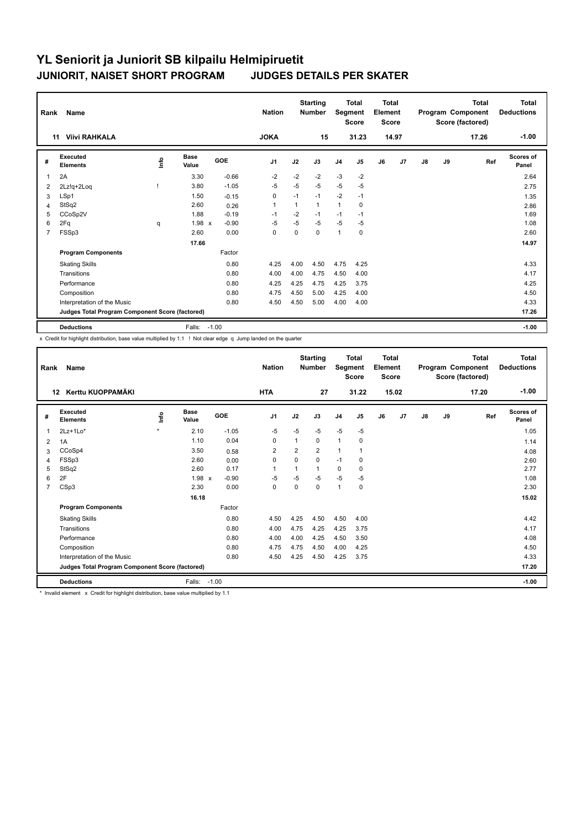| Rank           | Name<br><b>Viivi RAHKALA</b><br>11              |      |                      |         | <b>Nation</b>  |      | <b>Starting</b><br><b>Number</b> |                | <b>Total</b><br>Segment<br><b>Score</b> | <b>Total</b><br>Element<br><b>Score</b> |                |    |    | <b>Total</b><br>Program Component<br>Score (factored) | <b>Total</b><br><b>Deductions</b> |
|----------------|-------------------------------------------------|------|----------------------|---------|----------------|------|----------------------------------|----------------|-----------------------------------------|-----------------------------------------|----------------|----|----|-------------------------------------------------------|-----------------------------------|
|                |                                                 |      |                      |         | <b>JOKA</b>    |      | 15                               |                | 31.23                                   |                                         | 14.97          |    |    | 17.26                                                 | $-1.00$                           |
| #              | Executed<br><b>Elements</b>                     | lnfo | <b>Base</b><br>Value | GOE     | J <sub>1</sub> | J2   | J3                               | J <sub>4</sub> | J <sub>5</sub>                          | J6                                      | J <sub>7</sub> | J8 | J9 | Ref                                                   | Scores of<br>Panel                |
| 1              | 2A                                              |      | 3.30                 | $-0.66$ | $-2$           | $-2$ | $-2$                             | $-3$           | $-2$                                    |                                         |                |    |    |                                                       | 2.64                              |
| 2              | 2Lz!q+2Loq                                      |      | 3.80                 | $-1.05$ | -5             | $-5$ | $-5$                             | $-5$           | -5                                      |                                         |                |    |    |                                                       | 2.75                              |
| 3              | LSp1                                            |      | 1.50                 | $-0.15$ | $\mathbf 0$    | $-1$ | $-1$                             | $-2$           | $-1$                                    |                                         |                |    |    |                                                       | 1.35                              |
| 4              | StSq2                                           |      | 2.60                 | 0.26    | 1              |      | $\mathbf{1}$                     | 1              | 0                                       |                                         |                |    |    |                                                       | 2.86                              |
| 5              | CCoSp2V                                         |      | 1.88                 | $-0.19$ | $-1$           | $-2$ | $-1$                             | $-1$           | $-1$                                    |                                         |                |    |    |                                                       | 1.69                              |
| 6              | 2Fq                                             | q    | 1.98 x               | $-0.90$ | $-5$           | $-5$ | $-5$                             | $-5$           | $-5$                                    |                                         |                |    |    |                                                       | 1.08                              |
| $\overline{7}$ | FSSp3                                           |      | 2.60                 | 0.00    | $\pmb{0}$      | 0    | $\mathbf 0$                      | 1              | 0                                       |                                         |                |    |    |                                                       | 2.60                              |
|                |                                                 |      | 17.66                |         |                |      |                                  |                |                                         |                                         |                |    |    |                                                       | 14.97                             |
|                | <b>Program Components</b>                       |      |                      | Factor  |                |      |                                  |                |                                         |                                         |                |    |    |                                                       |                                   |
|                | <b>Skating Skills</b>                           |      |                      | 0.80    | 4.25           | 4.00 | 4.50                             | 4.75           | 4.25                                    |                                         |                |    |    |                                                       | 4.33                              |
|                | Transitions                                     |      |                      | 0.80    | 4.00           | 4.00 | 4.75                             | 4.50           | 4.00                                    |                                         |                |    |    |                                                       | 4.17                              |
|                | Performance                                     |      |                      | 0.80    | 4.25           | 4.25 | 4.75                             | 4.25           | 3.75                                    |                                         |                |    |    |                                                       | 4.25                              |
|                | Composition                                     |      |                      | 0.80    | 4.75           | 4.50 | 5.00                             | 4.25           | 4.00                                    |                                         |                |    |    |                                                       | 4.50                              |
|                | Interpretation of the Music                     |      |                      | 0.80    | 4.50           | 4.50 | 5.00                             | 4.00           | 4.00                                    |                                         |                |    |    |                                                       | 4.33                              |
|                | Judges Total Program Component Score (factored) |      |                      |         |                |      |                                  |                |                                         |                                         |                |    |    |                                                       | 17.26                             |
|                | <b>Deductions</b>                               |      | Falls: -1.00         |         |                |      |                                  |                |                                         |                                         |                |    |    |                                                       | $-1.00$                           |

x Credit for highlight distribution, base value multiplied by 1.1 ! Not clear edge q Jump landed on the quarter

| Rank           | Name                                            |             |                      |         | <b>Nation</b>  |                | <b>Starting</b><br><b>Number</b> | Segment        | <b>Total</b><br><b>Score</b> | <b>Total</b><br>Element<br><b>Score</b> |       |    |    | Total<br>Program Component<br>Score (factored) | <b>Total</b><br><b>Deductions</b> |
|----------------|-------------------------------------------------|-------------|----------------------|---------|----------------|----------------|----------------------------------|----------------|------------------------------|-----------------------------------------|-------|----|----|------------------------------------------------|-----------------------------------|
|                | Kerttu KUOPPAMÄKI<br>12                         |             |                      |         | <b>HTA</b>     |                | 27                               |                | 31.22                        |                                         | 15.02 |    |    | 17.20                                          | $-1.00$                           |
| #              | Executed<br><b>Elements</b>                     | <u>lnfo</u> | <b>Base</b><br>Value | GOE     | J <sub>1</sub> | J2             | J3                               | J <sub>4</sub> | J5                           | J6                                      | J7    | J8 | J9 | Ref                                            | Scores of<br>Panel                |
| 1              | $2Lz+1Lo*$                                      | $\star$     | 2.10                 | $-1.05$ | $-5$           | $-5$           | $-5$                             | $-5$           | $-5$                         |                                         |       |    |    |                                                | 1.05                              |
| 2              | 1A                                              |             | 1.10                 | 0.04    | $\mathbf 0$    | 1              | 0                                | $\mathbf{1}$   | 0                            |                                         |       |    |    |                                                | 1.14                              |
| 3              | CCoSp4                                          |             | 3.50                 | 0.58    | $\overline{2}$ | $\overline{2}$ | $\overline{2}$                   | $\mathbf{1}$   |                              |                                         |       |    |    |                                                | 4.08                              |
| 4              | FSSp3                                           |             | 2.60                 | 0.00    | $\mathbf 0$    | $\Omega$       | 0                                | $-1$           | 0                            |                                         |       |    |    |                                                | 2.60                              |
| 5              | StSq2                                           |             | 2.60                 | 0.17    | 1              |                | 1                                | 0              | 0                            |                                         |       |    |    |                                                | 2.77                              |
| 6              | 2F                                              |             | $1.98 \times$        | $-0.90$ | $-5$           | $-5$           | $-5$                             | $-5$           | $-5$                         |                                         |       |    |    |                                                | 1.08                              |
| $\overline{7}$ | CSp3                                            |             | 2.30                 | 0.00    | 0              | $\Omega$       | 0                                | $\mathbf{1}$   | 0                            |                                         |       |    |    |                                                | 2.30                              |
|                |                                                 |             | 16.18                |         |                |                |                                  |                |                              |                                         |       |    |    |                                                | 15.02                             |
|                | <b>Program Components</b>                       |             |                      | Factor  |                |                |                                  |                |                              |                                         |       |    |    |                                                |                                   |
|                | <b>Skating Skills</b>                           |             |                      | 0.80    | 4.50           | 4.25           | 4.50                             | 4.50           | 4.00                         |                                         |       |    |    |                                                | 4.42                              |
|                | Transitions                                     |             |                      | 0.80    | 4.00           | 4.75           | 4.25                             | 4.25           | 3.75                         |                                         |       |    |    |                                                | 4.17                              |
|                | Performance                                     |             |                      | 0.80    | 4.00           | 4.00           | 4.25                             | 4.50           | 3.50                         |                                         |       |    |    |                                                | 4.08                              |
|                | Composition                                     |             |                      | 0.80    | 4.75           | 4.75           | 4.50                             | 4.00           | 4.25                         |                                         |       |    |    |                                                | 4.50                              |
|                | Interpretation of the Music                     |             |                      | 0.80    | 4.50           | 4.25           | 4.50                             | 4.25           | 3.75                         |                                         |       |    |    |                                                | 4.33                              |
|                | Judges Total Program Component Score (factored) |             |                      |         |                |                |                                  |                |                              |                                         |       |    |    |                                                | 17.20                             |
|                | <b>Deductions</b>                               |             | Falls:               | $-1.00$ |                |                |                                  |                |                              |                                         |       |    |    |                                                | $-1.00$                           |

\* Invalid element x Credit for highlight distribution, base value multiplied by 1.1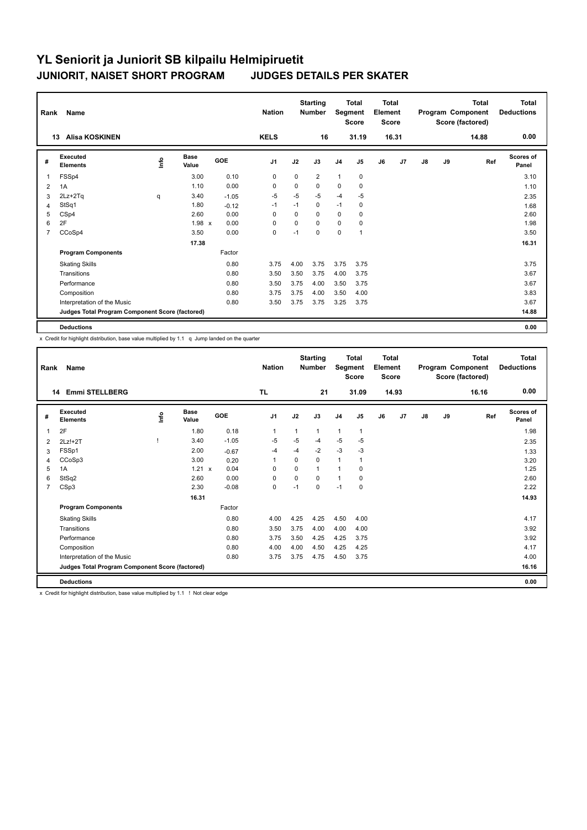| Rank           | Name<br><b>Alisa KOSKINEN</b><br>13             |    |                      |            | <b>Nation</b>  |             | <b>Starting</b><br><b>Number</b> |                | <b>Total</b><br>Segment<br><b>Score</b> | <b>Total</b><br>Element<br><b>Score</b> |       |               |    | <b>Total</b><br>Program Component<br>Score (factored) | <b>Total</b><br><b>Deductions</b> |
|----------------|-------------------------------------------------|----|----------------------|------------|----------------|-------------|----------------------------------|----------------|-----------------------------------------|-----------------------------------------|-------|---------------|----|-------------------------------------------------------|-----------------------------------|
|                |                                                 |    |                      |            | <b>KELS</b>    |             | 16                               |                | 31.19                                   |                                         | 16.31 |               |    | 14.88                                                 | 0.00                              |
| #              | Executed<br><b>Elements</b>                     | ۴ô | <b>Base</b><br>Value | <b>GOE</b> | J <sub>1</sub> | J2          | J3                               | J <sub>4</sub> | J5                                      | J6                                      | J7    | $\mathsf{J}8$ | J9 | Ref                                                   | Scores of<br>Panel                |
| 1              | FSSp4                                           |    | 3.00                 | 0.10       | 0              | $\mathbf 0$ | $\overline{2}$                   | $\mathbf{1}$   | 0                                       |                                         |       |               |    |                                                       | 3.10                              |
| 2              | 1A                                              |    | 1.10                 | 0.00       | 0              | 0           | 0                                | $\mathbf 0$    | 0                                       |                                         |       |               |    |                                                       | 1.10                              |
| 3              | $2Lz + 2Tq$                                     | q  | 3.40                 | $-1.05$    | $-5$           | $-5$        | $-5$                             | $-4$           | $-5$                                    |                                         |       |               |    |                                                       | 2.35                              |
| 4              | StSq1                                           |    | 1.80                 | $-0.12$    | $-1$           | $-1$        | 0                                | $-1$           | 0                                       |                                         |       |               |    |                                                       | 1.68                              |
| 5              | CSp4                                            |    | 2.60                 | 0.00       | 0              | 0           | 0                                | 0              | 0                                       |                                         |       |               |    |                                                       | 2.60                              |
| 6              | 2F                                              |    | $1.98 \times$        | 0.00       | $\Omega$       | 0           | $\Omega$                         | 0              | 0                                       |                                         |       |               |    |                                                       | 1.98                              |
| $\overline{7}$ | CCoSp4                                          |    | 3.50                 | 0.00       | 0              | $-1$        | $\Omega$                         | 0              | 1                                       |                                         |       |               |    |                                                       | 3.50                              |
|                |                                                 |    | 17.38                |            |                |             |                                  |                |                                         |                                         |       |               |    |                                                       | 16.31                             |
|                | <b>Program Components</b>                       |    |                      | Factor     |                |             |                                  |                |                                         |                                         |       |               |    |                                                       |                                   |
|                | <b>Skating Skills</b>                           |    |                      | 0.80       | 3.75           | 4.00        | 3.75                             | 3.75           | 3.75                                    |                                         |       |               |    |                                                       | 3.75                              |
|                | Transitions                                     |    |                      | 0.80       | 3.50           | 3.50        | 3.75                             | 4.00           | 3.75                                    |                                         |       |               |    |                                                       | 3.67                              |
|                | Performance                                     |    |                      | 0.80       | 3.50           | 3.75        | 4.00                             | 3.50           | 3.75                                    |                                         |       |               |    |                                                       | 3.67                              |
|                | Composition                                     |    |                      | 0.80       | 3.75           | 3.75        | 4.00                             | 3.50           | 4.00                                    |                                         |       |               |    |                                                       | 3.83                              |
|                | Interpretation of the Music                     |    |                      | 0.80       | 3.50           | 3.75        | 3.75                             | 3.25           | 3.75                                    |                                         |       |               |    |                                                       | 3.67                              |
|                | Judges Total Program Component Score (factored) |    |                      |            |                |             |                                  |                |                                         |                                         |       |               |    |                                                       | 14.88                             |
|                | <b>Deductions</b>                               |    |                      |            |                |             |                                  |                |                                         |                                         |       |               |    |                                                       | 0.00                              |

x Credit for highlight distribution, base value multiplied by 1.1 q Jump landed on the quarter

| Rank           | Name<br><b>Emmi STELLBERG</b><br>14             |      |                      |                      | <b>Nation</b>  |                | <b>Starting</b><br><b>Number</b> | Segment        | Total<br><b>Score</b> | Total<br>Element<br><b>Score</b> |       |               |    | <b>Total</b><br>Program Component<br>Score (factored) | <b>Total</b><br><b>Deductions</b> |
|----------------|-------------------------------------------------|------|----------------------|----------------------|----------------|----------------|----------------------------------|----------------|-----------------------|----------------------------------|-------|---------------|----|-------------------------------------------------------|-----------------------------------|
|                |                                                 |      |                      |                      | <b>TL</b>      |                | 21                               |                | 31.09                 |                                  | 14.93 |               |    | 16.16                                                 | 0.00                              |
| #              | <b>Executed</b><br><b>Elements</b>              | ١nf٥ | <b>Base</b><br>Value | GOE                  | J <sub>1</sub> | J2             | J3                               | J <sub>4</sub> | J5                    | J6                               | J7    | $\mathsf{J}8$ | J9 | Ref                                                   | <b>Scores of</b><br>Panel         |
| $\overline{1}$ | 2F                                              |      | 1.80                 | 0.18                 | $\mathbf{1}$   | $\overline{1}$ | $\mathbf{1}$                     | $\mathbf{1}$   | 1                     |                                  |       |               |    |                                                       | 1.98                              |
| 2              | $2Lz!+2T$                                       |      | 3.40                 | $-1.05$              | $-5$           | $-5$           | $-4$                             | $-5$           | $-5$                  |                                  |       |               |    |                                                       | 2.35                              |
| 3              | FSSp1                                           |      | 2.00                 | $-0.67$              | -4             | -4             | $-2$                             | $-3$           | $-3$                  |                                  |       |               |    |                                                       | 1.33                              |
| 4              | CCoSp3                                          |      | 3.00                 | 0.20                 | $\mathbf{1}$   | $\Omega$       | $\Omega$                         | $\overline{1}$ | 1                     |                                  |       |               |    |                                                       | 3.20                              |
| 5              | 1A                                              |      | 1.21                 | 0.04<br>$\mathsf{x}$ | 0              | 0              | 1                                | 1              | 0                     |                                  |       |               |    |                                                       | 1.25                              |
| 6              | StSq2                                           |      | 2.60                 | 0.00                 | 0              | $\Omega$       | $\Omega$                         | 1              | 0                     |                                  |       |               |    |                                                       | 2.60                              |
| $\overline{7}$ | CSp3                                            |      | 2.30                 | $-0.08$              | $\mathbf 0$    | $-1$           | $\Omega$                         | $-1$           | $\Omega$              |                                  |       |               |    |                                                       | 2.22                              |
|                |                                                 |      | 16.31                |                      |                |                |                                  |                |                       |                                  |       |               |    |                                                       | 14.93                             |
|                | <b>Program Components</b>                       |      |                      | Factor               |                |                |                                  |                |                       |                                  |       |               |    |                                                       |                                   |
|                | <b>Skating Skills</b>                           |      |                      | 0.80                 | 4.00           | 4.25           | 4.25                             | 4.50           | 4.00                  |                                  |       |               |    |                                                       | 4.17                              |
|                | Transitions                                     |      |                      | 0.80                 | 3.50           | 3.75           | 4.00                             | 4.00           | 4.00                  |                                  |       |               |    |                                                       | 3.92                              |
|                | Performance                                     |      |                      | 0.80                 | 3.75           | 3.50           | 4.25                             | 4.25           | 3.75                  |                                  |       |               |    |                                                       | 3.92                              |
|                | Composition                                     |      |                      | 0.80                 | 4.00           | 4.00           | 4.50                             | 4.25           | 4.25                  |                                  |       |               |    |                                                       | 4.17                              |
|                | Interpretation of the Music                     |      |                      | 0.80                 | 3.75           | 3.75           | 4.75                             | 4.50           | 3.75                  |                                  |       |               |    |                                                       | 4.00                              |
|                | Judges Total Program Component Score (factored) |      |                      |                      |                |                |                                  |                |                       |                                  |       |               |    |                                                       | 16.16                             |
|                | <b>Deductions</b>                               |      |                      |                      |                |                |                                  |                |                       |                                  |       |               |    |                                                       | 0.00                              |

x Credit for highlight distribution, base value multiplied by 1.1 ! Not clear edge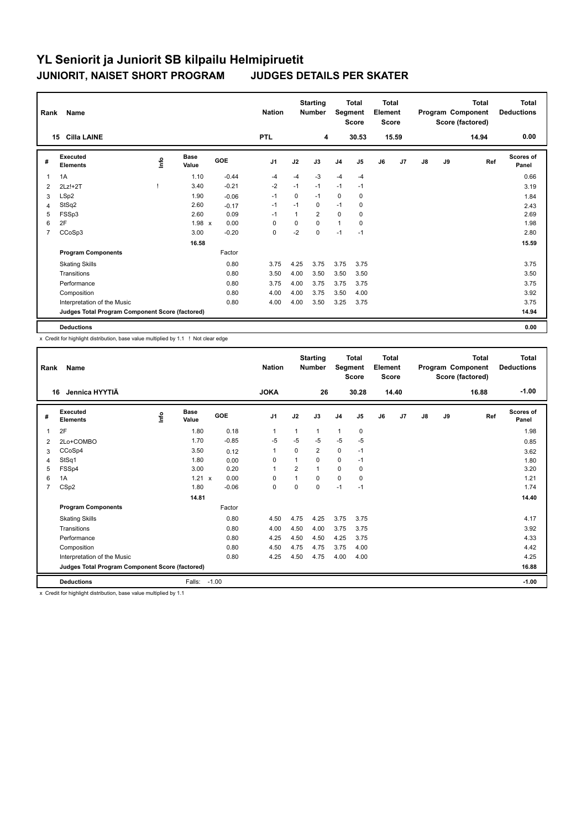| Rank           | Name                                            | <b>Nation</b> |                      | <b>Starting</b><br><b>Number</b> |                | <b>Total</b><br>Segment<br><b>Score</b> | <b>Total</b><br>Element<br><b>Score</b> |                |       |    | <b>Total</b><br>Program Component<br>Score (factored) | <b>Total</b><br><b>Deductions</b> |    |       |                    |
|----------------|-------------------------------------------------|---------------|----------------------|----------------------------------|----------------|-----------------------------------------|-----------------------------------------|----------------|-------|----|-------------------------------------------------------|-----------------------------------|----|-------|--------------------|
|                | <b>Cilla LAINE</b><br>15                        |               |                      |                                  | <b>PTL</b>     |                                         | 4                                       |                | 30.53 |    | 15.59                                                 |                                   |    | 14.94 | 0.00               |
| #              | Executed<br><b>Elements</b>                     | ١nfo          | <b>Base</b><br>Value | GOE                              | J <sub>1</sub> | J2                                      | J3                                      | J <sub>4</sub> | J5    | J6 | J7                                                    | $\mathsf{J}8$                     | J9 | Ref   | Scores of<br>Panel |
| 1              | 1A                                              |               | 1.10                 | $-0.44$                          | $-4$           | $-4$                                    | $-3$                                    | $-4$           | $-4$  |    |                                                       |                                   |    |       | 0.66               |
| $\overline{2}$ | $2Lz!+2T$                                       |               | 3.40                 | $-0.21$                          | $-2$           | $-1$                                    | $-1$                                    | $-1$           | $-1$  |    |                                                       |                                   |    |       | 3.19               |
| 3              | LSp2                                            |               | 1.90                 | $-0.06$                          | $-1$           | 0                                       | $-1$                                    | $\mathbf 0$    | 0     |    |                                                       |                                   |    |       | 1.84               |
| 4              | StSq2                                           |               | 2.60                 | $-0.17$                          | -1             | $-1$                                    | 0                                       | $-1$           | 0     |    |                                                       |                                   |    |       | 2.43               |
| 5              | FSSp3                                           |               | 2.60                 | 0.09                             | $-1$           | $\mathbf{1}$                            | $\overline{2}$                          | 0              | 0     |    |                                                       |                                   |    |       | 2.69               |
| 6              | 2F                                              |               | 1.98 x               | 0.00                             | $\Omega$       | 0                                       | $\Omega$                                | $\mathbf{1}$   | 0     |    |                                                       |                                   |    |       | 1.98               |
| 7              | CCoSp3                                          |               | 3.00                 | $-0.20$                          | 0              | $-2$                                    | 0                                       | $-1$           | $-1$  |    |                                                       |                                   |    |       | 2.80               |
|                |                                                 |               | 16.58                |                                  |                |                                         |                                         |                |       |    |                                                       |                                   |    |       | 15.59              |
|                | <b>Program Components</b>                       |               |                      | Factor                           |                |                                         |                                         |                |       |    |                                                       |                                   |    |       |                    |
|                | <b>Skating Skills</b>                           |               |                      | 0.80                             | 3.75           | 4.25                                    | 3.75                                    | 3.75           | 3.75  |    |                                                       |                                   |    |       | 3.75               |
|                | Transitions                                     |               |                      | 0.80                             | 3.50           | 4.00                                    | 3.50                                    | 3.50           | 3.50  |    |                                                       |                                   |    |       | 3.50               |
|                | Performance                                     |               |                      | 0.80                             | 3.75           | 4.00                                    | 3.75                                    | 3.75           | 3.75  |    |                                                       |                                   |    |       | 3.75               |
|                | Composition                                     |               |                      | 0.80                             | 4.00           | 4.00                                    | 3.75                                    | 3.50           | 4.00  |    |                                                       |                                   |    |       | 3.92               |
|                | Interpretation of the Music                     |               |                      | 0.80                             | 4.00           | 4.00                                    | 3.50                                    | 3.25           | 3.75  |    |                                                       |                                   |    |       | 3.75               |
|                | Judges Total Program Component Score (factored) |               |                      |                                  |                |                                         |                                         |                |       |    |                                                       |                                   |    |       | 14.94              |
|                | <b>Deductions</b>                               |               |                      |                                  |                |                                         |                                         |                |       |    |                                                       |                                   |    |       | 0.00               |

x Credit for highlight distribution, base value multiplied by 1.1 ! Not clear edge

| Rank           | <b>Name</b>                                     |                                  |                      |         | <b>Nation</b>  |                | <b>Starting</b><br><b>Number</b> | Segment        | <b>Total</b><br><b>Score</b> | Total<br>Element<br><b>Score</b> |       |    |    | <b>Total</b><br>Program Component<br>Score (factored) | <b>Total</b><br><b>Deductions</b> |
|----------------|-------------------------------------------------|----------------------------------|----------------------|---------|----------------|----------------|----------------------------------|----------------|------------------------------|----------------------------------|-------|----|----|-------------------------------------------------------|-----------------------------------|
|                | Jennica HYYTIÄ<br>16                            |                                  |                      |         | <b>JOKA</b>    |                | 26                               |                | 30.28                        |                                  | 14.40 |    |    | 16.88                                                 | $-1.00$                           |
| #              | <b>Executed</b><br><b>Elements</b>              | $\mathop{\mathsf{Irr}}\nolimits$ | <b>Base</b><br>Value | GOE     | J <sub>1</sub> | J2             | J3                               | J <sub>4</sub> | J <sub>5</sub>               | J6                               | J7    | J8 | J9 | Ref                                                   | <b>Scores of</b><br>Panel         |
| 1              | 2F                                              |                                  | 1.80                 | 0.18    | 1              |                | $\mathbf{1}$                     | $\mathbf{1}$   | 0                            |                                  |       |    |    |                                                       | 1.98                              |
| $\overline{2}$ | 2Lo+COMBO                                       |                                  | 1.70                 | $-0.85$ | $-5$           | $-5$           | $-5$                             | $-5$           | $-5$                         |                                  |       |    |    |                                                       | 0.85                              |
| 3              | CCoSp4                                          |                                  | 3.50                 | 0.12    | 1              | $\Omega$       | 2                                | 0              | $-1$                         |                                  |       |    |    |                                                       | 3.62                              |
| $\overline{4}$ | StSq1                                           |                                  | 1.80                 | 0.00    | 0              |                | 0                                | $\mathbf 0$    | $-1$                         |                                  |       |    |    |                                                       | 1.80                              |
| 5              | FSSp4                                           |                                  | 3.00                 | 0.20    | 1              | $\overline{2}$ | 1                                | $\Omega$       | 0                            |                                  |       |    |    |                                                       | 3.20                              |
| 6              | 1A                                              |                                  | $1.21 \times$        | 0.00    | $\mathbf 0$    |                | $\Omega$                         | $\mathbf 0$    | $\mathbf 0$                  |                                  |       |    |    |                                                       | 1.21                              |
| $\overline{7}$ | CSp2                                            |                                  | 1.80                 | $-0.06$ | 0              | $\Omega$       | 0                                | $-1$           | $-1$                         |                                  |       |    |    |                                                       | 1.74                              |
|                |                                                 |                                  | 14.81                |         |                |                |                                  |                |                              |                                  |       |    |    |                                                       | 14.40                             |
|                | <b>Program Components</b>                       |                                  |                      | Factor  |                |                |                                  |                |                              |                                  |       |    |    |                                                       |                                   |
|                | <b>Skating Skills</b>                           |                                  |                      | 0.80    | 4.50           | 4.75           | 4.25                             | 3.75           | 3.75                         |                                  |       |    |    |                                                       | 4.17                              |
|                | Transitions                                     |                                  |                      | 0.80    | 4.00           | 4.50           | 4.00                             | 3.75           | 3.75                         |                                  |       |    |    |                                                       | 3.92                              |
|                | Performance                                     |                                  |                      | 0.80    | 4.25           | 4.50           | 4.50                             | 4.25           | 3.75                         |                                  |       |    |    |                                                       | 4.33                              |
|                | Composition                                     |                                  |                      | 0.80    | 4.50           | 4.75           | 4.75                             | 3.75           | 4.00                         |                                  |       |    |    |                                                       | 4.42                              |
|                | Interpretation of the Music                     |                                  |                      | 0.80    | 4.25           | 4.50           | 4.75                             | 4.00           | 4.00                         |                                  |       |    |    |                                                       | 4.25                              |
|                | Judges Total Program Component Score (factored) |                                  |                      |         |                |                |                                  |                |                              |                                  |       |    |    |                                                       | 16.88                             |
|                | <b>Deductions</b>                               |                                  | Falls:               | $-1.00$ |                |                |                                  |                |                              |                                  |       |    |    |                                                       | $-1.00$                           |

x Credit for highlight distribution, base value multiplied by 1.1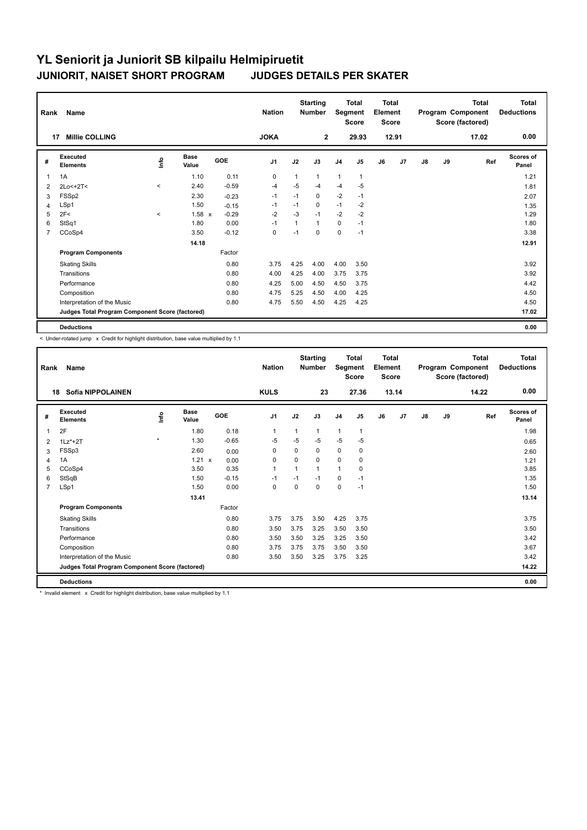| Rank           | Name                                            | <b>Nation</b> |                      | <b>Starting</b><br><b>Number</b> | Segment     | Total<br><b>Score</b> | <b>Total</b><br>Element<br><b>Score</b> |                |              |    | <b>Total</b><br>Program Component<br>Score (factored) | Total<br><b>Deductions</b> |    |       |                           |
|----------------|-------------------------------------------------|---------------|----------------------|----------------------------------|-------------|-----------------------|-----------------------------------------|----------------|--------------|----|-------------------------------------------------------|----------------------------|----|-------|---------------------------|
|                | <b>Millie COLLING</b><br>17                     |               |                      |                                  | <b>JOKA</b> |                       | $\mathbf{2}$                            |                | 29.93        |    | 12.91                                                 |                            |    | 17.02 | 0.00                      |
| #              | Executed<br><b>Elements</b>                     | Info          | <b>Base</b><br>Value | <b>GOE</b>                       | J1          | J2                    | J3                                      | J <sub>4</sub> | J5           | J6 | J7                                                    | $\mathsf{J}8$              | J9 | Ref   | <b>Scores of</b><br>Panel |
| 1              | 1A                                              |               | 1.10                 | 0.11                             | 0           | $\mathbf{1}$          | $\mathbf{1}$                            | $\mathbf{1}$   | $\mathbf{1}$ |    |                                                       |                            |    |       | 1.21                      |
| 2              | 2Lo<+2T<                                        | $\,<$         | 2.40                 | $-0.59$                          | -4          | $-5$                  | $-4$                                    | $-4$           | -5           |    |                                                       |                            |    |       | 1.81                      |
| 3              | FSSp2                                           |               | 2.30                 | $-0.23$                          | $-1$        | $-1$                  | 0                                       | $-2$           | $-1$         |    |                                                       |                            |    |       | 2.07                      |
| 4              | LSp1                                            |               | 1.50                 | $-0.15$                          | $-1$        | $-1$                  | 0                                       | $-1$           | $-2$         |    |                                                       |                            |    |       | 1.35                      |
| 5              | 2F<                                             | $\prec$       | $1.58 \times$        | $-0.29$                          | $-2$        | $-3$                  | $-1$                                    | $-2$           | $-2$         |    |                                                       |                            |    |       | 1.29                      |
| 6              | StSq1                                           |               | 1.80                 | 0.00                             | $-1$        | 1                     | 1                                       | 0              | $-1$         |    |                                                       |                            |    |       | 1.80                      |
| $\overline{7}$ | CCoSp4                                          |               | 3.50                 | $-0.12$                          | 0           | $-1$                  | $\Omega$                                | $\mathbf 0$    | $-1$         |    |                                                       |                            |    |       | 3.38                      |
|                |                                                 |               | 14.18                |                                  |             |                       |                                         |                |              |    |                                                       |                            |    |       | 12.91                     |
|                | <b>Program Components</b>                       |               |                      | Factor                           |             |                       |                                         |                |              |    |                                                       |                            |    |       |                           |
|                | <b>Skating Skills</b>                           |               |                      | 0.80                             | 3.75        | 4.25                  | 4.00                                    | 4.00           | 3.50         |    |                                                       |                            |    |       | 3.92                      |
|                | Transitions                                     |               |                      | 0.80                             | 4.00        | 4.25                  | 4.00                                    | 3.75           | 3.75         |    |                                                       |                            |    |       | 3.92                      |
|                | Performance                                     |               |                      | 0.80                             | 4.25        | 5.00                  | 4.50                                    | 4.50           | 3.75         |    |                                                       |                            |    |       | 4.42                      |
|                | Composition                                     |               |                      | 0.80                             | 4.75        | 5.25                  | 4.50                                    | 4.00           | 4.25         |    |                                                       |                            |    |       | 4.50                      |
|                | Interpretation of the Music                     |               |                      | 0.80                             | 4.75        | 5.50                  | 4.50                                    | 4.25           | 4.25         |    |                                                       |                            |    |       | 4.50                      |
|                | Judges Total Program Component Score (factored) |               |                      |                                  |             |                       |                                         |                |              |    |                                                       |                            |    |       | 17.02                     |
|                | <b>Deductions</b>                               |               |                      |                                  |             |                       |                                         |                |              |    |                                                       |                            |    |       | 0.00                      |

< Under-rotated jump x Credit for highlight distribution, base value multiplied by 1.1

| Rank           | Name<br><b>Sofia NIPPOLAINEN</b><br>18          |              |                      |         | <b>Nation</b>  |          | <b>Starting</b><br><b>Number</b> | Segment        | Total<br><b>Score</b> | Total<br>Element<br><b>Score</b> |       |    |    | Total<br>Program Component<br>Score (factored) | <b>Total</b><br><b>Deductions</b> |
|----------------|-------------------------------------------------|--------------|----------------------|---------|----------------|----------|----------------------------------|----------------|-----------------------|----------------------------------|-------|----|----|------------------------------------------------|-----------------------------------|
|                |                                                 |              |                      |         | <b>KULS</b>    |          | 23                               |                | 27.36                 |                                  | 13.14 |    |    | 14.22                                          | 0.00                              |
| #              | Executed<br><b>Elements</b>                     | lnfo         | <b>Base</b><br>Value | GOE     | J <sub>1</sub> | J2       | J3                               | J <sub>4</sub> | J <sub>5</sub>        | J6                               | J7    | J8 | J9 | Ref                                            | Scores of<br>Panel                |
| 1              | 2F                                              |              | 1.80                 | 0.18    | $\mathbf{1}$   | 1        | 1                                | $\mathbf{1}$   | $\mathbf{1}$          |                                  |       |    |    |                                                | 1.98                              |
| 2              | $1Lz^*+2T$                                      | $\pmb{\ast}$ | 1.30                 | $-0.65$ | $-5$           | $-5$     | $-5$                             | $-5$           | $-5$                  |                                  |       |    |    |                                                | 0.65                              |
| 3              | FSSp3                                           |              | 2.60                 | 0.00    | 0              | 0        | 0                                | 0              | 0                     |                                  |       |    |    |                                                | 2.60                              |
| 4              | 1A                                              |              | 1.21 x               | 0.00    | $\Omega$       | $\Omega$ | 0                                | $\Omega$       | $\Omega$              |                                  |       |    |    |                                                | 1.21                              |
| 5              | CCoSp4                                          |              | 3.50                 | 0.35    | $\mathbf{1}$   | 1        | 1                                | $\overline{1}$ | 0                     |                                  |       |    |    |                                                | 3.85                              |
| 6              | StSqB                                           |              | 1.50                 | $-0.15$ | $-1$           | $-1$     | $-1$                             | 0              | $-1$                  |                                  |       |    |    |                                                | 1.35                              |
| $\overline{7}$ | LSp1                                            |              | 1.50                 | 0.00    | 0              | $\Omega$ | $\Omega$                         | $\mathbf 0$    | $-1$                  |                                  |       |    |    |                                                | 1.50                              |
|                |                                                 |              | 13.41                |         |                |          |                                  |                |                       |                                  |       |    |    |                                                | 13.14                             |
|                | <b>Program Components</b>                       |              |                      | Factor  |                |          |                                  |                |                       |                                  |       |    |    |                                                |                                   |
|                | <b>Skating Skills</b>                           |              |                      | 0.80    | 3.75           | 3.75     | 3.50                             | 4.25           | 3.75                  |                                  |       |    |    |                                                | 3.75                              |
|                | Transitions                                     |              |                      | 0.80    | 3.50           | 3.75     | 3.25                             | 3.50           | 3.50                  |                                  |       |    |    |                                                | 3.50                              |
|                | Performance                                     |              |                      | 0.80    | 3.50           | 3.50     | 3.25                             | 3.25           | 3.50                  |                                  |       |    |    |                                                | 3.42                              |
|                | Composition                                     |              |                      | 0.80    | 3.75           | 3.75     | 3.75                             | 3.50           | 3.50                  |                                  |       |    |    |                                                | 3.67                              |
|                | Interpretation of the Music                     |              |                      | 0.80    | 3.50           | 3.50     | 3.25                             | 3.75           | 3.25                  |                                  |       |    |    |                                                | 3.42                              |
|                | Judges Total Program Component Score (factored) |              |                      |         |                |          |                                  |                |                       |                                  |       |    |    |                                                | 14.22                             |
|                | <b>Deductions</b>                               |              |                      |         |                |          |                                  |                |                       |                                  |       |    |    |                                                | 0.00                              |

\* Invalid element x Credit for highlight distribution, base value multiplied by 1.1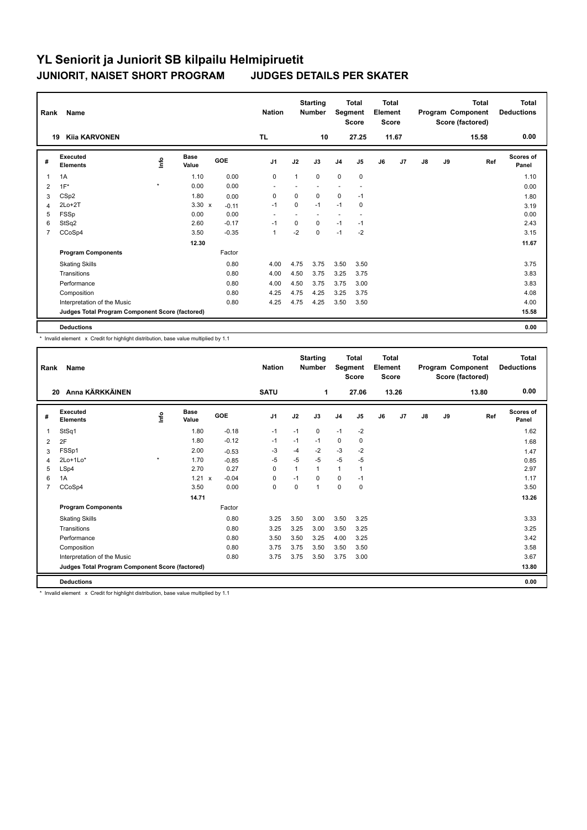| Rank           | Name                                            |              | <b>Nation</b>        |            | <b>Starting</b><br><b>Number</b> | Segment      | Total<br><b>Score</b> | <b>Total</b><br>Element<br><b>Score</b> |                          |    |       | <b>Total</b><br>Program Component<br>Score (factored) | <b>Total</b><br><b>Deductions</b> |       |                    |
|----------------|-------------------------------------------------|--------------|----------------------|------------|----------------------------------|--------------|-----------------------|-----------------------------------------|--------------------------|----|-------|-------------------------------------------------------|-----------------------------------|-------|--------------------|
|                | <b>Kija KARVONEN</b><br>19                      |              |                      |            | <b>TL</b>                        |              | 10                    |                                         | 27.25                    |    | 11.67 |                                                       |                                   | 15.58 | 0.00               |
| #              | Executed<br><b>Elements</b>                     | ١rfo         | <b>Base</b><br>Value | <b>GOE</b> | J <sub>1</sub>                   | J2           | J3                    | J <sub>4</sub>                          | J5                       | J6 | J7    | $\mathsf{J}8$                                         | J9                                | Ref   | Scores of<br>Panel |
| 1              | 1A                                              |              | 1.10                 | 0.00       | $\mathbf 0$                      | $\mathbf{1}$ | $\Omega$              | $\mathbf 0$                             | $\mathbf 0$              |    |       |                                                       |                                   |       | 1.10               |
| 2              | $1F^*$                                          | $\pmb{\ast}$ | 0.00                 | 0.00       | ٠                                |              |                       | ٠                                       | $\overline{\phantom{a}}$ |    |       |                                                       |                                   |       | 0.00               |
| 3              | CS <sub>p2</sub>                                |              | 1.80                 | 0.00       | 0                                | $\mathbf 0$  | $\Omega$              | $\mathbf 0$                             | $-1$                     |    |       |                                                       |                                   |       | 1.80               |
| 4              | $2Lo+2T$                                        |              | $3.30 \times$        | $-0.11$    | $-1$                             | $\mathbf 0$  | $-1$                  | $-1$                                    | 0                        |    |       |                                                       |                                   |       | 3.19               |
| 5              | FSSp                                            |              | 0.00                 | 0.00       | $\overline{\phantom{a}}$         |              |                       | ÷                                       | ٠                        |    |       |                                                       |                                   |       | 0.00               |
| 6              | StSq2                                           |              | 2.60                 | $-0.17$    | $-1$                             | 0            | 0                     | $-1$                                    | $-1$                     |    |       |                                                       |                                   |       | 2.43               |
| $\overline{7}$ | CCoSp4                                          |              | 3.50                 | $-0.35$    | $\overline{1}$                   | $-2$         | $\Omega$              | $-1$                                    | $-2$                     |    |       |                                                       |                                   |       | 3.15               |
|                |                                                 |              | 12.30                |            |                                  |              |                       |                                         |                          |    |       |                                                       |                                   |       | 11.67              |
|                | <b>Program Components</b>                       |              |                      | Factor     |                                  |              |                       |                                         |                          |    |       |                                                       |                                   |       |                    |
|                | <b>Skating Skills</b>                           |              |                      | 0.80       | 4.00                             | 4.75         | 3.75                  | 3.50                                    | 3.50                     |    |       |                                                       |                                   |       | 3.75               |
|                | Transitions                                     |              |                      | 0.80       | 4.00                             | 4.50         | 3.75                  | 3.25                                    | 3.75                     |    |       |                                                       |                                   |       | 3.83               |
|                | Performance                                     |              |                      | 0.80       | 4.00                             | 4.50         | 3.75                  | 3.75                                    | 3.00                     |    |       |                                                       |                                   |       | 3.83               |
|                | Composition                                     |              |                      | 0.80       | 4.25                             | 4.75         | 4.25                  | 3.25                                    | 3.75                     |    |       |                                                       |                                   |       | 4.08               |
|                | Interpretation of the Music                     |              |                      | 0.80       | 4.25                             | 4.75         | 4.25                  | 3.50                                    | 3.50                     |    |       |                                                       |                                   |       | 4.00               |
|                | Judges Total Program Component Score (factored) |              |                      |            |                                  |              |                       |                                         |                          |    |       |                                                       |                                   |       | 15.58              |
|                | <b>Deductions</b>                               |              |                      |            |                                  |              |                       |                                         |                          |    |       |                                                       |                                   |       | 0.00               |

\* Invalid element x Credit for highlight distribution, base value multiplied by 1.1

| Rank           | Name                                            |         |                      |            | <b>Nation</b>  |             | <b>Starting</b><br><b>Number</b> | Segment        | <b>Total</b><br><b>Score</b> | <b>Total</b><br>Element<br><b>Score</b> |       |               |    | <b>Total</b><br>Program Component<br>Score (factored) | <b>Total</b><br><b>Deductions</b> |
|----------------|-------------------------------------------------|---------|----------------------|------------|----------------|-------------|----------------------------------|----------------|------------------------------|-----------------------------------------|-------|---------------|----|-------------------------------------------------------|-----------------------------------|
| 20             | Anna KÄRKKÄINEN                                 |         |                      |            | <b>SATU</b>    |             | 1                                |                | 27.06                        |                                         | 13.26 |               |    | 13.80                                                 | 0.00                              |
| #              | Executed<br><b>Elements</b>                     | Info    | <b>Base</b><br>Value | <b>GOE</b> | J <sub>1</sub> | J2          | J3                               | J <sub>4</sub> | J5                           | J6                                      | J7    | $\mathsf{J}8$ | J9 | Ref                                                   | Scores of<br>Panel                |
| 1              | StSq1                                           |         | 1.80                 | $-0.18$    | $-1$           | $-1$        | 0                                | $-1$           | $-2$                         |                                         |       |               |    |                                                       | 1.62                              |
| 2              | 2F                                              |         | 1.80                 | $-0.12$    | $-1$           | $-1$        | $-1$                             | 0              | 0                            |                                         |       |               |    |                                                       | 1.68                              |
| 3              | FSSp1                                           |         | 2.00                 | $-0.53$    | -3             | $-4$        | $-2$                             | $-3$           | $-2$                         |                                         |       |               |    |                                                       | 1.47                              |
| 4              | $2Lo+1Lo*$                                      | $\star$ | 1.70                 | $-0.85$    | $-5$           | $-5$        | $-5$                             | $-5$           | $-5$                         |                                         |       |               |    |                                                       | 0.85                              |
| 5              | LSp4                                            |         | 2.70                 | 0.27       | 0              | 1           | 1                                | $\mathbf{1}$   | 1                            |                                         |       |               |    |                                                       | 2.97                              |
| 6              | 1A                                              |         | 1.21<br>$\mathbf{x}$ | $-0.04$    | 0              | $-1$        | 0                                | $\mathbf 0$    | $-1$                         |                                         |       |               |    |                                                       | 1.17                              |
| $\overline{7}$ | CCoSp4                                          |         | 3.50                 | 0.00       | $\mathbf 0$    | $\mathbf 0$ | 1                                | $\mathbf 0$    | $\mathbf 0$                  |                                         |       |               |    |                                                       | 3.50                              |
|                |                                                 |         | 14.71                |            |                |             |                                  |                |                              |                                         |       |               |    |                                                       | 13.26                             |
|                | <b>Program Components</b>                       |         |                      | Factor     |                |             |                                  |                |                              |                                         |       |               |    |                                                       |                                   |
|                | <b>Skating Skills</b>                           |         |                      | 0.80       | 3.25           | 3.50        | 3.00                             | 3.50           | 3.25                         |                                         |       |               |    |                                                       | 3.33                              |
|                | Transitions                                     |         |                      | 0.80       | 3.25           | 3.25        | 3.00                             | 3.50           | 3.25                         |                                         |       |               |    |                                                       | 3.25                              |
|                | Performance                                     |         |                      | 0.80       | 3.50           | 3.50        | 3.25                             | 4.00           | 3.25                         |                                         |       |               |    |                                                       | 3.42                              |
|                | Composition                                     |         |                      | 0.80       | 3.75           | 3.75        | 3.50                             | 3.50           | 3.50                         |                                         |       |               |    |                                                       | 3.58                              |
|                | Interpretation of the Music                     |         |                      | 0.80       | 3.75           | 3.75        | 3.50                             | 3.75           | 3.00                         |                                         |       |               |    |                                                       | 3.67                              |
|                | Judges Total Program Component Score (factored) |         |                      |            |                |             |                                  |                |                              |                                         |       |               |    |                                                       | 13.80                             |
|                | <b>Deductions</b>                               |         |                      |            |                |             |                                  |                |                              |                                         |       |               |    |                                                       | 0.00                              |

\* Invalid element x Credit for highlight distribution, base value multiplied by 1.1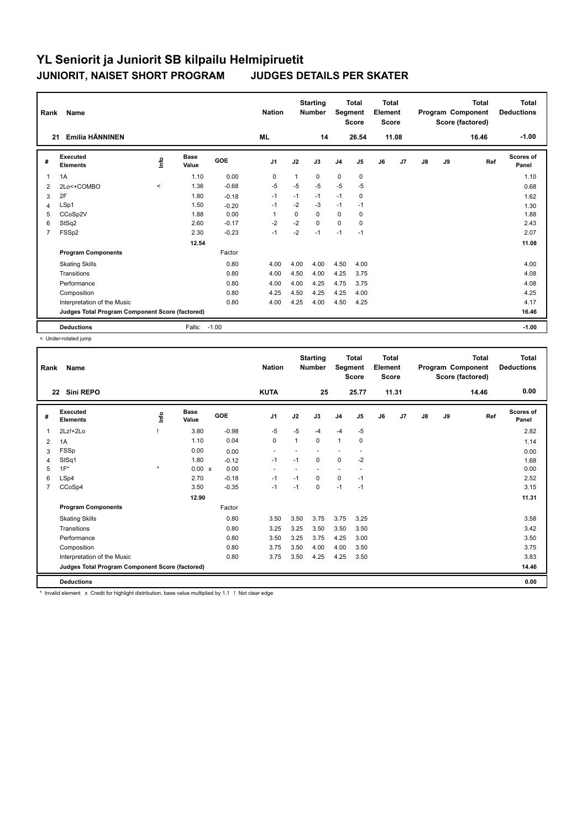| Rank           | Name                                            |            |                      |         | <b>Nation</b> |          | <b>Starting</b><br><b>Number</b> | Segment        | <b>Total</b><br><b>Score</b> | <b>Total</b><br>Element<br><b>Score</b> |                |    |    | <b>Total</b><br>Program Component<br>Score (factored) | Total<br><b>Deductions</b> |
|----------------|-------------------------------------------------|------------|----------------------|---------|---------------|----------|----------------------------------|----------------|------------------------------|-----------------------------------------|----------------|----|----|-------------------------------------------------------|----------------------------|
| 21             | Emilia HÄNNINEN                                 |            |                      |         | <b>ML</b>     |          | 14                               |                | 26.54                        |                                         | 11.08          |    |    | 16.46                                                 | $-1.00$                    |
| #              | Executed<br><b>Elements</b>                     | <b>Lin</b> | <b>Base</b><br>Value | GOE     | J1            | J2       | J3                               | J <sub>4</sub> | J <sub>5</sub>               | J6                                      | J <sub>7</sub> | J8 | J9 | Ref                                                   | Scores of<br>Panel         |
| $\overline{1}$ | 1A                                              |            | 1.10                 | 0.00    | 0             | 1        | 0                                | $\mathbf 0$    | 0                            |                                         |                |    |    |                                                       | 1.10                       |
| 2              | 2Lo<+COMBO                                      | $\prec$    | 1.36                 | $-0.68$ | $-5$          | -5       | $-5$                             | $-5$           | -5                           |                                         |                |    |    |                                                       | 0.68                       |
| 3              | 2F                                              |            | 1.80                 | $-0.18$ | $-1$          | $-1$     | $-1$                             | $-1$           | 0                            |                                         |                |    |    |                                                       | 1.62                       |
| $\overline{4}$ | LSp1                                            |            | 1.50                 | $-0.20$ | $-1$          | $-2$     | $-3$                             | $-1$           | $-1$                         |                                         |                |    |    |                                                       | 1.30                       |
| 5              | CCoSp2V                                         |            | 1.88                 | 0.00    | $\mathbf 1$   | $\Omega$ | $\Omega$                         | $\Omega$       | 0                            |                                         |                |    |    |                                                       | 1.88                       |
| 6              | StSq2                                           |            | 2.60                 | $-0.17$ | $-2$          | $-2$     | $\Omega$                         | $\mathbf 0$    | $\mathbf 0$                  |                                         |                |    |    |                                                       | 2.43                       |
| $\overline{7}$ | FSSp2                                           |            | 2.30                 | $-0.23$ | $-1$          | $-2$     | $-1$                             | $-1$           | $-1$                         |                                         |                |    |    |                                                       | 2.07                       |
|                |                                                 |            | 12.54                |         |               |          |                                  |                |                              |                                         |                |    |    |                                                       | 11.08                      |
|                | <b>Program Components</b>                       |            |                      | Factor  |               |          |                                  |                |                              |                                         |                |    |    |                                                       |                            |
|                | <b>Skating Skills</b>                           |            |                      | 0.80    | 4.00          | 4.00     | 4.00                             | 4.50           | 4.00                         |                                         |                |    |    |                                                       | 4.00                       |
|                | Transitions                                     |            |                      | 0.80    | 4.00          | 4.50     | 4.00                             | 4.25           | 3.75                         |                                         |                |    |    |                                                       | 4.08                       |
|                | Performance                                     |            |                      | 0.80    | 4.00          | 4.00     | 4.25                             | 4.75           | 3.75                         |                                         |                |    |    |                                                       | 4.08                       |
|                | Composition                                     |            |                      | 0.80    | 4.25          | 4.50     | 4.25                             | 4.25           | 4.00                         |                                         |                |    |    |                                                       | 4.25                       |
|                | Interpretation of the Music                     |            |                      | 0.80    | 4.00          | 4.25     | 4.00                             | 4.50           | 4.25                         |                                         |                |    |    |                                                       | 4.17                       |
|                | Judges Total Program Component Score (factored) |            |                      |         |               |          |                                  |                |                              |                                         |                |    |    |                                                       | 16.46                      |
|                | <b>Deductions</b>                               |            | Falls:               | $-1.00$ |               |          |                                  |                |                              |                                         |                |    |    |                                                       | $-1.00$                    |

< Under-rotated jump

| Rank | Name<br>Sini REPO<br>22                         |         |               |         | <b>Nation</b>            |      | <b>Starting</b><br><b>Number</b> | Segment        | <b>Total</b><br><b>Score</b> | <b>Total</b><br>Element<br><b>Score</b> |                |               |    | <b>Total</b><br>Program Component<br>Score (factored) | <b>Total</b><br><b>Deductions</b> |
|------|-------------------------------------------------|---------|---------------|---------|--------------------------|------|----------------------------------|----------------|------------------------------|-----------------------------------------|----------------|---------------|----|-------------------------------------------------------|-----------------------------------|
|      |                                                 |         |               |         | <b>KUTA</b>              |      | 25                               |                | 25.77                        |                                         | 11.31          |               |    | 14.46                                                 | 0.00                              |
| #    | Executed<br><b>Elements</b>                     | lnfo    | Base<br>Value | GOE     | J <sub>1</sub>           | J2   | J3                               | J <sub>4</sub> | J5                           | J6                                      | J <sub>7</sub> | $\mathsf{J}8$ | J9 | Ref                                                   | Scores of<br>Panel                |
| 1    | $2Lz!+2Lo$                                      |         | 3.80          | $-0.98$ | $-5$                     | $-5$ | $-4$                             | $-4$           | $-5$                         |                                         |                |               |    |                                                       | 2.82                              |
| 2    | 1A                                              |         | 1.10          | 0.04    | $\mathbf 0$              | 1    | $\Omega$                         | $\mathbf{1}$   | 0                            |                                         |                |               |    |                                                       | 1.14                              |
| 3    | FSSp                                            |         | 0.00          | 0.00    | ٠                        |      |                                  |                |                              |                                         |                |               |    |                                                       | 0.00                              |
| 4    | StSq1                                           |         | 1.80          | $-0.12$ | $-1$                     | $-1$ | $\Omega$                         | $\mathbf 0$    | $-2$                         |                                         |                |               |    |                                                       | 1.68                              |
| 5    | $1F^*$                                          | $\star$ | $0.00 \times$ | 0.00    | $\overline{\phantom{a}}$ |      |                                  | ÷              | $\overline{\phantom{a}}$     |                                         |                |               |    |                                                       | 0.00                              |
| 6    | LSp4                                            |         | 2.70          | $-0.18$ | $-1$                     | $-1$ | $\Omega$                         | $\mathbf 0$    | $-1$                         |                                         |                |               |    |                                                       | 2.52                              |
| 7    | CCoSp4                                          |         | 3.50          | $-0.35$ | $-1$                     | $-1$ | $\mathbf 0$                      | $-1$           | $-1$                         |                                         |                |               |    |                                                       | 3.15                              |
|      |                                                 |         | 12.90         |         |                          |      |                                  |                |                              |                                         |                |               |    |                                                       | 11.31                             |
|      | <b>Program Components</b>                       |         |               | Factor  |                          |      |                                  |                |                              |                                         |                |               |    |                                                       |                                   |
|      | <b>Skating Skills</b>                           |         |               | 0.80    | 3.50                     | 3.50 | 3.75                             | 3.75           | 3.25                         |                                         |                |               |    |                                                       | 3.58                              |
|      | Transitions                                     |         |               | 0.80    | 3.25                     | 3.25 | 3.50                             | 3.50           | 3.50                         |                                         |                |               |    |                                                       | 3.42                              |
|      | Performance                                     |         |               | 0.80    | 3.50                     | 3.25 | 3.75                             | 4.25           | 3.00                         |                                         |                |               |    |                                                       | 3.50                              |
|      | Composition                                     |         |               | 0.80    | 3.75                     | 3.50 | 4.00                             | 4.00           | 3.50                         |                                         |                |               |    |                                                       | 3.75                              |
|      | Interpretation of the Music                     |         |               | 0.80    | 3.75                     | 3.50 | 4.25                             | 4.25           | 3.50                         |                                         |                |               |    |                                                       | 3.83                              |
|      | Judges Total Program Component Score (factored) |         |               |         |                          |      |                                  |                |                              |                                         |                |               |    |                                                       | 14.46                             |
|      | <b>Deductions</b>                               |         |               |         |                          |      |                                  |                |                              |                                         |                |               |    |                                                       | 0.00                              |

\* Invalid element x Credit for highlight distribution, base value multiplied by 1.1 ! Not clear edge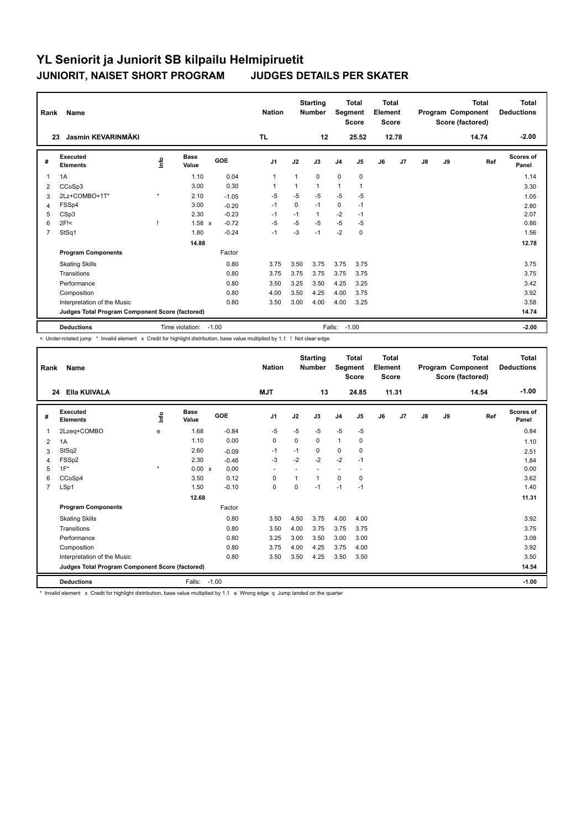| Rank           | <b>Name</b><br>Jasmin KEVARINMÄKI<br>23         |            |                      |         |                |      | <b>Starting</b><br><b>Number</b> | Segment        | <b>Total</b><br><b>Score</b> | Total<br>Element<br><b>Score</b> |                |               |         | Total<br>Program Component<br>Score (factored) | Total<br><b>Deductions</b> |
|----------------|-------------------------------------------------|------------|----------------------|---------|----------------|------|----------------------------------|----------------|------------------------------|----------------------------------|----------------|---------------|---------|------------------------------------------------|----------------------------|
|                |                                                 |            |                      |         | <b>TL</b>      |      | 12                               |                | 25.52                        |                                  | 12.78          |               |         | 14.74                                          | $-2.00$                    |
| #              | Executed<br><b>Elements</b>                     | <b>Lin</b> | <b>Base</b><br>Value | GOE     | J <sub>1</sub> | J2   | J3                               | J <sub>4</sub> | J <sub>5</sub>               | J6                               | J <sub>7</sub> | $\mathsf{J}8$ | J9      | Ref                                            | Scores of<br>Panel         |
| $\overline{1}$ | 1A                                              |            | 1.10                 | 0.04    | $\mathbf{1}$   | 1    | 0                                | $\mathbf 0$    | $\mathbf 0$                  |                                  |                |               |         |                                                | 1.14                       |
| 2              | CCoSp3                                          |            | 3.00                 | 0.30    |                | 1    | 1                                | $\mathbf{1}$   | 1                            |                                  |                |               |         |                                                | 3.30                       |
| 3              | 2Lz+COMBO+1T*                                   | $\star$    | 2.10                 | $-1.05$ | $-5$           | $-5$ | $-5$                             | $-5$           | $-5$                         |                                  |                |               |         |                                                | 1.05                       |
| $\overline{4}$ | FSS <sub>p4</sub>                               |            | 3.00                 | $-0.20$ | $-1$           | 0    | $-1$                             | $\mathbf 0$    | $-1$                         |                                  |                |               |         |                                                | 2.80                       |
| 5              | CSp3                                            |            | 2.30                 | $-0.23$ | $-1$           | $-1$ | 1                                | $-2$           | $-1$                         |                                  |                |               |         |                                                | 2.07                       |
| 6              | $2F$ !<                                         |            | $1.58 \times$        | $-0.72$ | $-5$           | $-5$ | $-5$                             | $-5$           | $-5$                         |                                  |                |               |         |                                                | 0.86                       |
| $\overline{7}$ | StSq1                                           |            | 1.80                 | $-0.24$ | $-1$           | $-3$ | $-1$                             | $-2$           | $\mathbf 0$                  |                                  |                |               |         |                                                | 1.56                       |
|                |                                                 |            | 14.88                |         |                |      |                                  |                |                              |                                  |                |               |         |                                                | 12.78                      |
|                | <b>Program Components</b>                       |            |                      | Factor  |                |      |                                  |                |                              |                                  |                |               |         |                                                |                            |
|                | <b>Skating Skills</b>                           |            |                      | 0.80    | 3.75           | 3.50 | 3.75                             | 3.75           | 3.75                         |                                  |                |               |         |                                                | 3.75                       |
|                | Transitions                                     |            |                      | 0.80    | 3.75           | 3.75 | 3.75                             | 3.75           | 3.75                         |                                  |                |               |         |                                                | 3.75                       |
|                | Performance                                     |            |                      | 0.80    | 3.50           | 3.25 | 3.50                             | 4.25           | 3.25                         |                                  |                |               |         |                                                | 3.42                       |
|                | Composition                                     |            |                      | 0.80    | 4.00           | 3.50 | 4.25                             | 4.00           | 3.75                         |                                  |                |               |         |                                                | 3.92                       |
|                | Interpretation of the Music                     |            |                      | 0.80    | 3.50           | 3.00 | 4.00                             | 4.00           | 3.25                         |                                  |                |               |         |                                                | 3.58                       |
|                | Judges Total Program Component Score (factored) |            |                      |         |                |      |                                  |                |                              |                                  |                |               |         |                                                | 14.74                      |
|                | <b>Deductions</b>                               | $-1.00$    |                      |         | Falls:         |      | $-1.00$                          |                |                              |                                  |                |               | $-2.00$ |                                                |                            |

< Under-rotated jump \* Invalid element x Credit for highlight distribution, base value multiplied by 1.1 ! Not clear edge

| Rank           | Name                                            |         |               |         | <b>Nation</b>            |          | <b>Starting</b><br><b>Number</b> | Segment        | Total<br><b>Score</b> | <b>Total</b><br>Element<br><b>Score</b> |       |               |    | <b>Total</b><br>Program Component<br>Score (factored) | <b>Total</b><br><b>Deductions</b> |
|----------------|-------------------------------------------------|---------|---------------|---------|--------------------------|----------|----------------------------------|----------------|-----------------------|-----------------------------------------|-------|---------------|----|-------------------------------------------------------|-----------------------------------|
|                | Ella KUIVALA<br>24                              |         |               |         | <b>MJT</b>               |          | 13                               |                | 24.85                 |                                         | 11.31 |               |    | 14.54                                                 | $-1.00$                           |
| #              | Executed<br><b>Elements</b>                     | ١m      | Base<br>Value | GOE     | J <sub>1</sub>           | J2       | J3                               | J <sub>4</sub> | J5                    | J6                                      | J7    | $\mathsf{J}8$ | J9 | Ref                                                   | Scores of<br>Panel                |
| $\mathbf{1}$   | 2Lzeq+COMBO                                     | e       | 1.68          | $-0.84$ | $-5$                     | $-5$     | $-5$                             | $-5$           | $-5$                  |                                         |       |               |    |                                                       | 0.84                              |
| 2              | 1A                                              |         | 1.10          | 0.00    | $\mathbf 0$              | $\Omega$ | $\Omega$                         | $\mathbf{1}$   | 0                     |                                         |       |               |    |                                                       | 1.10                              |
| 3              | StSq2                                           |         | 2.60          | $-0.09$ | $-1$                     | $-1$     | 0                                | 0              | 0                     |                                         |       |               |    |                                                       | 2.51                              |
| 4              | FSSp2                                           |         | 2.30          | $-0.46$ | $-3$                     | $-2$     | $-2$                             | $-2$           | $-1$                  |                                         |       |               |    |                                                       | 1.84                              |
| 5              | $1F^*$                                          | $\star$ | $0.00 \times$ | 0.00    | $\overline{\phantom{a}}$ |          |                                  | ٠              |                       |                                         |       |               |    |                                                       | 0.00                              |
| 6              | CCoSp4                                          |         | 3.50          | 0.12    | 0                        |          | 1                                | $\mathbf 0$    | 0                     |                                         |       |               |    |                                                       | 3.62                              |
| $\overline{7}$ | LSp1                                            |         | 1.50          | $-0.10$ | $\mathbf 0$              | $\Omega$ | $-1$                             | $-1$           | $-1$                  |                                         |       |               |    |                                                       | 1.40                              |
|                |                                                 |         | 12.68         |         |                          |          |                                  |                |                       |                                         |       |               |    |                                                       | 11.31                             |
|                | <b>Program Components</b>                       |         |               | Factor  |                          |          |                                  |                |                       |                                         |       |               |    |                                                       |                                   |
|                | <b>Skating Skills</b>                           |         |               | 0.80    | 3.50                     | 4.50     | 3.75                             | 4.00           | 4.00                  |                                         |       |               |    |                                                       | 3.92                              |
|                | Transitions                                     |         |               | 0.80    | 3.50                     | 4.00     | 3.75                             | 3.75           | 3.75                  |                                         |       |               |    |                                                       | 3.75                              |
|                | Performance                                     |         |               | 0.80    | 3.25                     | 3.00     | 3.50                             | 3.00           | 3.00                  |                                         |       |               |    |                                                       | 3.08                              |
|                | Composition                                     |         |               | 0.80    | 3.75                     | 4.00     | 4.25                             | 3.75           | 4.00                  |                                         |       |               |    |                                                       | 3.92                              |
|                | Interpretation of the Music                     |         |               | 0.80    | 3.50                     | 3.50     | 4.25                             | 3.50           | 3.50                  |                                         |       |               |    |                                                       | 3.50                              |
|                | Judges Total Program Component Score (factored) |         |               |         |                          |          |                                  |                |                       |                                         |       |               |    |                                                       | 14.54                             |
|                | <b>Deductions</b>                               |         | Falls:        | $-1.00$ |                          |          |                                  |                |                       |                                         |       |               |    |                                                       | $-1.00$                           |

\* Invalid element x Credit for highlight distribution, base value multiplied by 1.1 e Wrong edge q Jump landed on the quarter